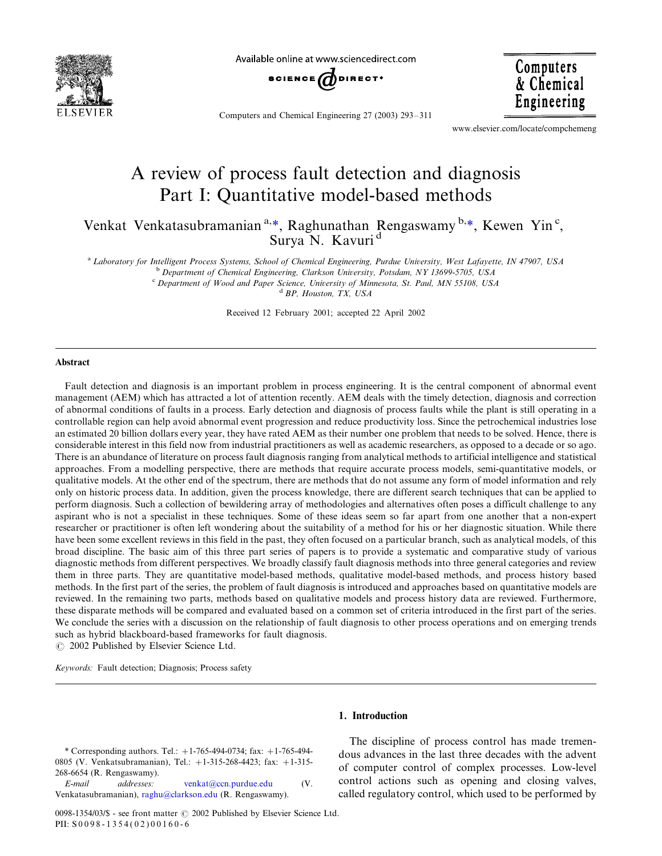

Available online at www.sciencedirect.com



Computers and Chemical Engineering 27 (2003) 293-311

**Computers** & Chemical Engineering

www.elsevier.com/locate/compchemeng

# A review of process fault detection and diagnosis Part I: Quantitative model-based methods

Venkat Venkatasubramanian<sup>a,\*</sup>, Raghunathan Rengaswamy<sup>b,\*</sup>, Kewen Yin<sup>c</sup>, Surya N. Kavuri<sup>d</sup>

<sup>a</sup> Laboratory for Intelligent Process Systems, School of Chemical Engineering, Purdue University, West Lafayette, IN 47907, USA<br><sup>b</sup> Department of Chemical Engineering, Clarkson University, Potsdam, NY 13699-5705, USA<br><sup>c</sup>

<sup>d</sup> BP, Houston, TX, USA

Received 12 February 2001; accepted 22 April 2002

## Abstract

Fault detection and diagnosis is an important problem in process engineering. It is the central component of abnormal event management (AEM) which has attracted a lot of attention recently. AEM deals with the timely detection, diagnosis and correction of abnormal conditions of faults in a process. Early detection and diagnosis of process faults while the plant is still operating in a controllable region can help avoid abnormal event progression and reduce productivity loss. Since the petrochemical industries lose an estimated 20 billion dollars every year, they have rated AEM as their number one problem that needs to be solved. Hence, there is considerable interest in this field now from industrial practitioners as well as academic researchers, as opposed to a decade or so ago. There is an abundance of literature on process fault diagnosis ranging from analytical methods to artificial intelligence and statistical approaches. From a modelling perspective, there are methods that require accurate process models, semi-quantitative models, or qualitative models. At the other end of the spectrum, there are methods that do not assume any form of model information and rely only on historic process data. In addition, given the process knowledge, there are different search techniques that can be applied to perform diagnosis. Such a collection of bewildering array of methodologies and alternatives often poses a difficult challenge to any aspirant who is not a specialist in these techniques. Some of these ideas seem so far apart from one another that a non-expert researcher or practitioner is often left wondering about the suitability of a method for his or her diagnostic situation. While there have been some excellent reviews in this field in the past, they often focused on a particular branch, such as analytical models, of this broad discipline. The basic aim of this three part series of papers is to provide a systematic and comparative study of various diagnostic methods from different perspectives. We broadly classify fault diagnosis methods into three general categories and review them in three parts. They are quantitative model-based methods, qualitative model-based methods, and process history based methods. In the first part of the series, the problem of fault diagnosis is introduced and approaches based on quantitative models are reviewed. In the remaining two parts, methods based on qualitative models and process history data are reviewed. Furthermore, these disparate methods will be compared and evaluated based on a common set of criteria introduced in the first part of the series. We conclude the series with a discussion on the relationship of fault diagnosis to other process operations and on emerging trends such as hybrid blackboard-based frameworks for fault diagnosis.

 $\odot$  2002 Published by Elsevier Science Ltd.

Keywords: Fault detection; Diagnosis; Process safety

### 1. Introduction

\* Corresponding authors. Tel.:  $+1-765-494-0734$ ; fax:  $+1-765-494-$ 0805 (V. Venkatsubramanian), Tel.: +1-315-268-4423; fax: +1-315-268-6654 (R. Rengaswamy).

E-mail addresses: venkat@ccn.purdue.edu (V. Venkatasubramanian), raghu@clarkson.edu (R. Rengaswamy).

0098-1354/03/\$ - see front matter © 2002 Published by Elsevier Science Ltd. PII: S0098-1354(02)00160-6

The discipline of process control has made tremendous advances in the last three decades with the advent of computer control of complex processes. Low-level control actions such as opening and closing valves, called regulatory control, which used to be performed by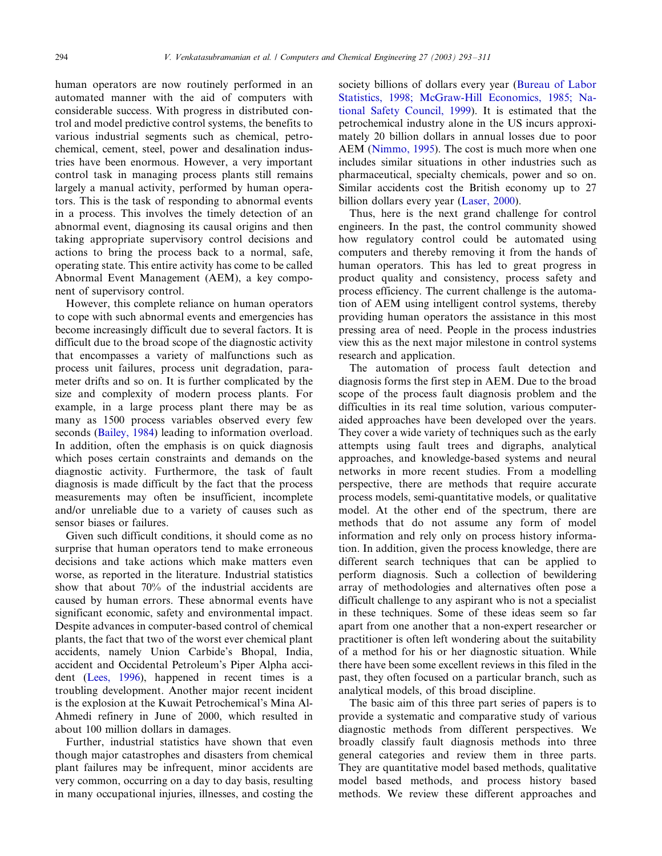human operators are now routinely performed in an automated manner with the aid of computers with considerable success. With progress in distributed control and model predictive control systems, the benefits to various industrial segments such as chemical, petrochemical, cement, steel, power and desalination industries have been enormous. However, a very important control task in managing process plants still remains largely a manual activity, performed by human operators. This is the task of responding to abnormal events in a process. This involves the timely detection of an abnormal event, diagnosing its causal origins and then taking appropriate supervisory control decisions and actions to bring the process back to a normal, safe, operating state. This entire activity has come to be called Abnormal Event Management (AEM), a key component of supervisory control.

However, this complete reliance on human operators to cope with such abnormal events and emergencies has become increasingly difficult due to several factors. It is difficult due to the broad scope of the diagnostic activity that encompasses a variety of malfunctions such as process unit failures, process unit degradation, parameter drifts and so on. It is further complicated by the size and complexity of modern process plants. For example, in a large process plant there may be as many as 1500 process variables observed every few seconds (Bailey, 1984) leading to information overload. In addition, often the emphasis is on quick diagnosis which poses certain constraints and demands on the diagnostic activity. Furthermore, the task of fault diagnosis is made difficult by the fact that the process measurements may often be insufficient, incomplete and/or unreliable due to a variety of causes such as sensor biases or failures.

Given such difficult conditions, it should come as no surprise that human operators tend to make erroneous decisions and take actions which make matters even worse, as reported in the literature. Industrial statistics show that about 70% of the industrial accidents are caused by human errors. These abnormal events have significant economic, safety and environmental impact. Despite advances in computer-based control of chemical plants, the fact that two of the worst ever chemical plant accidents, namely Union Carbide's Bhopal, India, accident and Occidental Petroleum's Piper Alpha accident (Lees, 1996), happened in recent times is a troubling development. Another major recent incident is the explosion at the Kuwait Petrochemical's Mina Al-Ahmedi refinery in June of 2000, which resulted in about 100 million dollars in damages.

Further, industrial statistics have shown that even though major catastrophes and disasters from chemical plant failures may be infrequent, minor accidents are very common, occurring on a day to day basis, resulting in many occupational injuries, illnesses, and costing the

society billions of dollars every year (Bureau of Labor Statistics, 1998; McGraw-Hill Economics, 1985; National Safety Council, 1999). It is estimated that the petrochemical industry alone in the US incurs approximately 20 billion dollars in annual losses due to poor AEM (Nimmo, 1995). The cost is much more when one includes similar situations in other industries such as pharmaceutical, specialty chemicals, power and so on. Similar accidents cost the British economy up to 27 billion dollars every year (Laser, 2000).

Thus, here is the next grand challenge for control engineers. In the past, the control community showed how regulatory control could be automated using computers and thereby removing it from the hands of human operators. This has led to great progress in product quality and consistency, process safety and process efficiency. The current challenge is the automation of AEM using intelligent control systems, thereby providing human operators the assistance in this most pressing area of need. People in the process industries view this as the next major milestone in control systems research and application.

The automation of process fault detection and diagnosis forms the first step in AEM. Due to the broad scope of the process fault diagnosis problem and the difficulties in its real time solution, various computeraided approaches have been developed over the years. They cover a wide variety of techniques such as the early attempts using fault trees and digraphs, analytical approaches, and knowledge-based systems and neural networks in more recent studies. From a modelling perspective, there are methods that require accurate process models, semi-quantitative models, or qualitative model. At the other end of the spectrum, there are methods that do not assume any form of model information and rely only on process history information. In addition, given the process knowledge, there are different search techniques that can be applied to perform diagnosis. Such a collection of bewildering array of methodologies and alternatives often pose a difficult challenge to any aspirant who is not a specialist in these techniques. Some of these ideas seem so far apart from one another that a non-expert researcher or practitioner is often left wondering about the suitability of a method for his or her diagnostic situation. While there have been some excellent reviews in this filed in the past, they often focused on a particular branch, such as analytical models, of this broad discipline.

The basic aim of this three part series of papers is to provide a systematic and comparative study of various diagnostic methods from different perspectives. We broadly classify fault diagnosis methods into three general categories and review them in three parts. They are quantitative model based methods, qualitative model based methods, and process history based methods. We review these different approaches and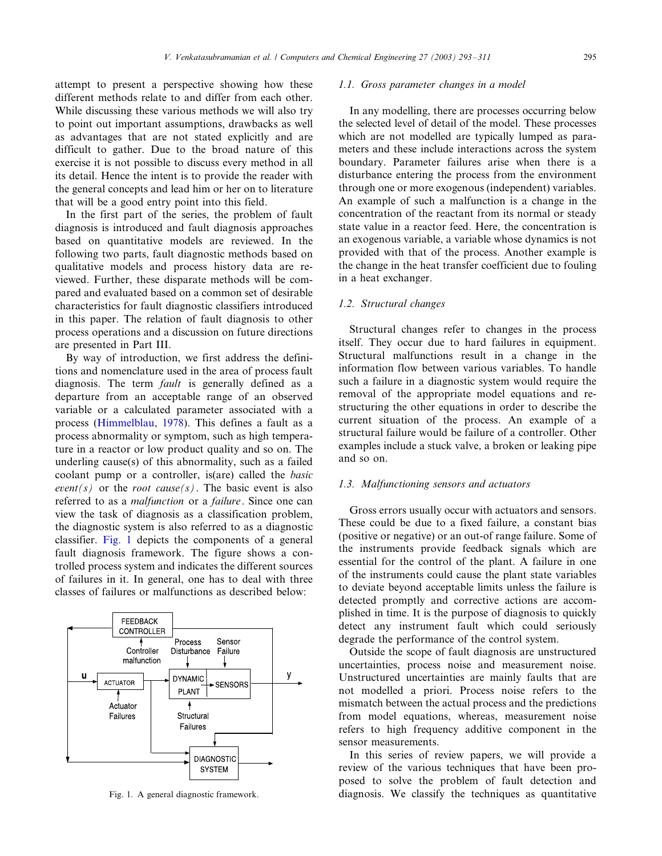attempt to present a perspective showing how these different methods relate to and differ from each other. While discussing these various methods we will also try to point out important assumptions, drawbacks as well as advantages that are not stated explicitly and are difficult to gather. Due to the broad nature of this exercise it is not possible to discuss every method in all its detail. Hence the intent is to provide the reader with the general concepts and lead him or her on to literature that will be a good entry point into this field.

In the first part of the series, the problem of fault diagnosis is introduced and fault diagnosis approaches based on quantitative models are reviewed. In the following two parts, fault diagnostic methods based on qualitative models and process history data are reviewed. Further, these disparate methods will be compared and evaluated based on a common set of desirable characteristics for fault diagnostic classifiers introduced in this paper. The relation of fault diagnosis to other process operations and a discussion on future directions are presented in Part III.

By way of introduction, we first address the definitions and nomenclature used in the area of process fault diagnosis. The term *fault* is generally defined as a departure from an acceptable range of an observed variable or a calculated parameter associated with a process (Himmelblau, 1978). This defines a fault as a process abnormality or symptom, such as high temperature in a reactor or low product quality and so on. The underling cause(s) of this abnormality, such as a failed coolant pump or a controller, is(are) called the basic event(s) or the root cause(s). The basic event is also referred to as a *malfunction* or a *failure*. Since one can view the task of diagnosis as a classification problem, the diagnostic system is also referred to as a diagnostic classifier. Fig. 1 depicts the components of a general fault diagnosis framework. The figure shows a controlled process system and indicates the different sources of failures in it. In general, one has to deal with three classes of failures or malfunctions as described below:



#### 1.1. Gross parameter changes in a model

In any modelling, there are processes occurring below the selected level of detail of the model. These processes which are not modelled are typically lumped as parameters and these include interactions across the system boundary. Parameter failures arise when there is a disturbance entering the process from the environment through one or more exogenous (independent) variables. An example of such a malfunction is a change in the concentration of the reactant from its normal or steady state value in a reactor feed. Here, the concentration is an exogenous variable, a variable whose dynamics is not provided with that of the process. Another example is the change in the heat transfer coefficient due to fouling in a heat exchanger.

# 1.2. Structural changes

Structural changes refer to changes in the process itself. They occur due to hard failures in equipment. Structural malfunctions result in a change in the information flow between various variables. To handle such a failure in a diagnostic system would require the removal of the appropriate model equations and restructuring the other equations in order to describe the current situation of the process. An example of a structural failure would be failure of a controller. Other examples include a stuck valve, a broken or leaking pipe and so on.

#### 1.3. Malfunctioning sensors and actuators

Gross errors usually occur with actuators and sensors. These could be due to a fixed failure, a constant bias (positive or negative) or an out-of range failure. Some of the instruments provide feedback signals which are essential for the control of the plant. A failure in one of the instruments could cause the plant state variables to deviate beyond acceptable limits unless the failure is detected promptly and corrective actions are accomplished in time. It is the purpose of diagnosis to quickly detect any instrument fault which could seriously degrade the performance of the control system.

Outside the scope of fault diagnosis are unstructured uncertainties, process noise and measurement noise. Unstructured uncertainties are mainly faults that are not modelled a priori. Process noise refers to the mismatch between the actual process and the predictions from model equations, whereas, measurement noise refers to high frequency additive component in the sensor measurements.

In this series of review papers, we will provide a review of the various techniques that have been proposed to solve the problem of fault detection and Fig. 1. A general diagnostic framework. diagnosis. We classify the techniques as quantitative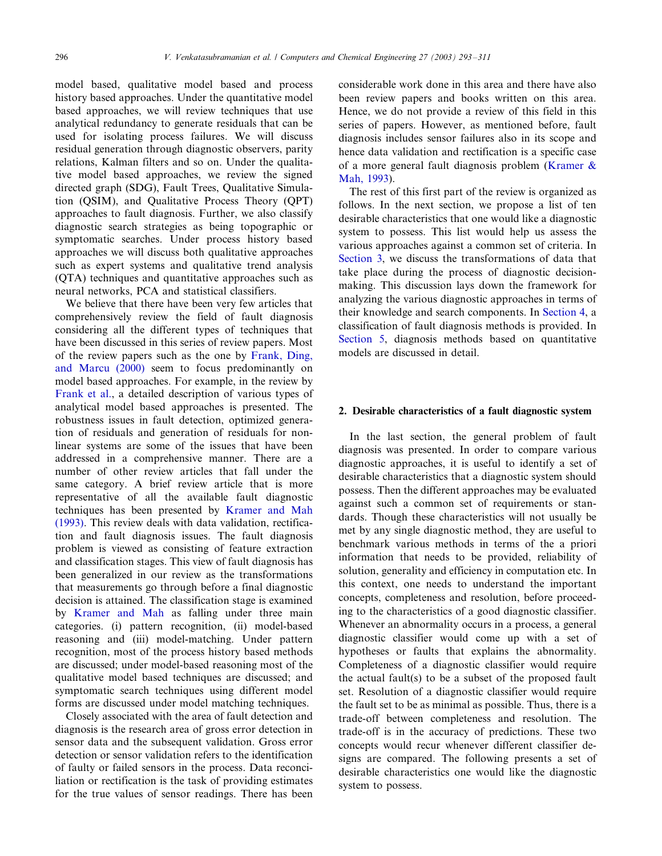model based, qualitative model based and process history based approaches. Under the quantitative model based approaches, we will review techniques that use analytical redundancy to generate residuals that can be used for isolating process failures. We will discuss residual generation through diagnostic observers, parity relations, Kalman filters and so on. Under the qualitative model based approaches, we review the signed directed graph (SDG), Fault Trees, Qualitative Simulation (QSIM), and Qualitative Process Theory (QPT) approaches to fault diagnosis. Further, we also classify diagnostic search strategies as being topographic or symptomatic searches. Under process history based approaches we will discuss both qualitative approaches such as expert systems and qualitative trend analysis (QTA) techniques and quantitative approaches such as neural networks, PCA and statistical classifiers.

We believe that there have been very few articles that comprehensively review the field of fault diagnosis considering all the different types of techniques that have been discussed in this series of review papers. Most of the review papers such as the one by Frank, Ding, and Marcu (2000) seem to focus predominantly on model based approaches. For example, in the review by Frank et al., a detailed description of various types of analytical model based approaches is presented. The robustness issues in fault detection, optimized generation of residuals and generation of residuals for nonlinear systems are some of the issues that have been addressed in a comprehensive manner. There are a number of other review articles that fall under the same category. A brief review article that is more representative of all the available fault diagnostic techniques has been presented by Kramer and Mah (1993). This review deals with data validation, rectification and fault diagnosis issues. The fault diagnosis problem is viewed as consisting of feature extraction and classification stages. This view of fault diagnosis has been generalized in our review as the transformations that measurements go through before a final diagnostic decision is attained. The classification stage is examined by Kramer and Mah as falling under three main categories. (i) pattern recognition, (ii) model-based reasoning and (iii) model-matching. Under pattern recognition, most of the process history based methods are discussed; under model-based reasoning most of the qualitative model based techniques are discussed; and symptomatic search techniques using different model forms are discussed under model matching techniques.

Closely associated with the area of fault detection and diagnosis is the research area of gross error detection in sensor data and the subsequent validation. Gross error detection or sensor validation refers to the identification of faulty or failed sensors in the process. Data reconciliation or rectification is the task of providing estimates for the true values of sensor readings. There has been

considerable work done in this area and there have also been review papers and books written on this area. Hence, we do not provide a review of this field in this series of papers. However, as mentioned before, fault diagnosis includes sensor failures also in its scope and hence data validation and rectification is a specific case of a more general fault diagnosis problem (Kramer & Mah, 1993).

The rest of this first part of the review is organized as follows. In the next section, we propose a list of ten desirable characteristics that one would like a diagnostic system to possess. This list would help us assess the various approaches against a common set of criteria. In Section 3, we discuss the transformations of data that take place during the process of diagnostic decisionmaking. This discussion lays down the framework for analyzing the various diagnostic approaches in terms of their knowledge and search components. In Section 4, a classification of fault diagnosis methods is provided. In Section 5, diagnosis methods based on quantitative models are discussed in detail.

#### 2. Desirable characteristics of a fault diagnostic system

In the last section, the general problem of fault diagnosis was presented. In order to compare various diagnostic approaches, it is useful to identify a set of desirable characteristics that a diagnostic system should possess. Then the different approaches may be evaluated against such a common set of requirements or standards. Though these characteristics will not usually be met by any single diagnostic method, they are useful to benchmark various methods in terms of the a priori information that needs to be provided, reliability of solution, generality and efficiency in computation etc. In this context, one needs to understand the important concepts, completeness and resolution, before proceeding to the characteristics of a good diagnostic classifier. Whenever an abnormality occurs in a process, a general diagnostic classifier would come up with a set of hypotheses or faults that explains the abnormality. Completeness of a diagnostic classifier would require the actual fault(s) to be a subset of the proposed fault set. Resolution of a diagnostic classifier would require the fault set to be as minimal as possible. Thus, there is a trade-off between completeness and resolution. The trade-off is in the accuracy of predictions. These two concepts would recur whenever different classifier designs are compared. The following presents a set of desirable characteristics one would like the diagnostic system to possess.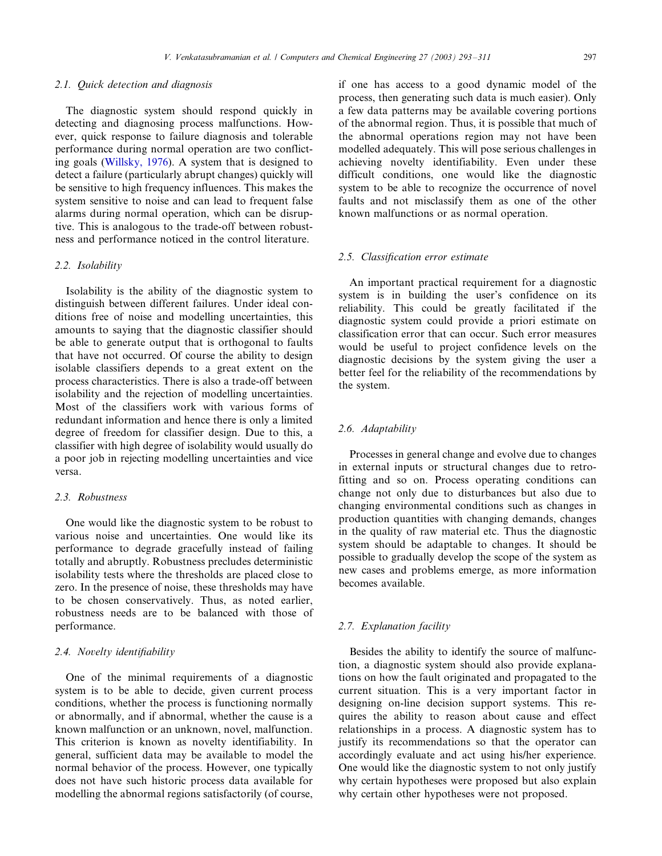### 2.1. Quick detection and diagnosis

The diagnostic system should respond quickly in detecting and diagnosing process malfunctions. However, quick response to failure diagnosis and tolerable performance during normal operation are two conflicting goals (Willsky, 1976). A system that is designed to detect a failure (particularly abrupt changes) quickly will be sensitive to high frequency influences. This makes the system sensitive to noise and can lead to frequent false alarms during normal operation, which can be disruptive. This is analogous to the trade-off between robustness and performance noticed in the control literature.

# 2.2. Isolability

Isolability is the ability of the diagnostic system to distinguish between different failures. Under ideal conditions free of noise and modelling uncertainties, this amounts to saying that the diagnostic classifier should be able to generate output that is orthogonal to faults that have not occurred. Of course the ability to design isolable classifiers depends to a great extent on the process characteristics. There is also a trade-off between isolability and the rejection of modelling uncertainties. Most of the classifiers work with various forms of redundant information and hence there is only a limited degree of freedom for classifier design. Due to this, a classifier with high degree of isolability would usually do a poor job in rejecting modelling uncertainties and vice versa.

# 2.3. Robustness

One would like the diagnostic system to be robust to various noise and uncertainties. One would like its performance to degrade gracefully instead of failing totally and abruptly. Robustness precludes deterministic isolability tests where the thresholds are placed close to zero. In the presence of noise, these thresholds may have to be chosen conservatively. Thus, as noted earlier, robustness needs are to be balanced with those of performance.

## 2.4. Novelty identifiability

One of the minimal requirements of a diagnostic system is to be able to decide, given current process conditions, whether the process is functioning normally or abnormally, and if abnormal, whether the cause is a known malfunction or an unknown, novel, malfunction. This criterion is known as novelty identifiability. In general, sufficient data may be available to model the normal behavior of the process. However, one typically does not have such historic process data available for modelling the abnormal regions satisfactorily (of course,

if one has access to a good dynamic model of the process, then generating such data is much easier). Only a few data patterns may be available covering portions of the abnormal region. Thus, it is possible that much of the abnormal operations region may not have been modelled adequately. This will pose serious challenges in achieving novelty identifiability. Even under these difficult conditions, one would like the diagnostic system to be able to recognize the occurrence of novel faults and not misclassify them as one of the other known malfunctions or as normal operation.

# 2.5. Classification error estimate

An important practical requirement for a diagnostic system is in building the user's confidence on its reliability. This could be greatly facilitated if the diagnostic system could provide a priori estimate on classification error that can occur. Such error measures would be useful to project confidence levels on the diagnostic decisions by the system giving the user a better feel for the reliability of the recommendations by the system.

# 2.6. Adaptability

Processes in general change and evolve due to changes in external inputs or structural changes due to retrofitting and so on. Process operating conditions can change not only due to disturbances but also due to changing environmental conditions such as changes in production quantities with changing demands, changes in the quality of raw material etc. Thus the diagnostic system should be adaptable to changes. It should be possible to gradually develop the scope of the system as new cases and problems emerge, as more information becomes available.

## 2.7. Explanation facility

Besides the ability to identify the source of malfunction, a diagnostic system should also provide explanations on how the fault originated and propagated to the current situation. This is a very important factor in designing on-line decision support systems. This requires the ability to reason about cause and effect relationships in a process. A diagnostic system has to justify its recommendations so that the operator can accordingly evaluate and act using his/her experience. One would like the diagnostic system to not only justify why certain hypotheses were proposed but also explain why certain other hypotheses were not proposed.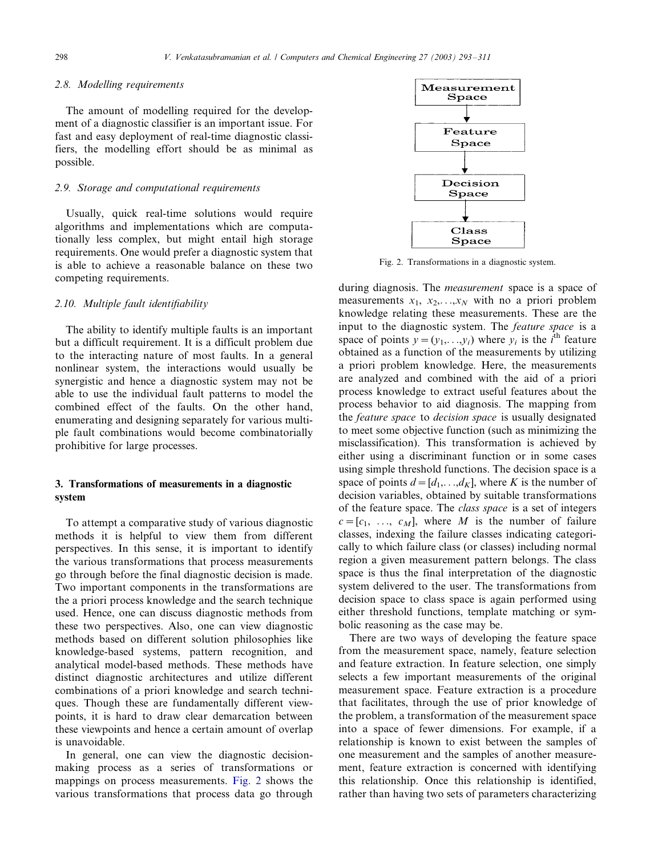#### 2.8. Modelling requirements

The amount of modelling required for the development of a diagnostic classifier is an important issue. For fast and easy deployment of real-time diagnostic classifiers, the modelling effort should be as minimal as possible.

#### 2.9. Storage and computational requirements

Usually, quick real-time solutions would require algorithms and implementations which are computationally less complex, but might entail high storage requirements. One would prefer a diagnostic system that is able to achieve a reasonable balance on these two competing requirements.

# 2.10. Multiple fault identifiability

The ability to identify multiple faults is an important but a difficult requirement. It is a difficult problem due to the interacting nature of most faults. In a general nonlinear system, the interactions would usually be synergistic and hence a diagnostic system may not be able to use the individual fault patterns to model the combined effect of the faults. On the other hand, enumerating and designing separately for various multiple fault combinations would become combinatorially prohibitive for large processes.

# 3. Transformations of measurements in a diagnostic system

To attempt a comparative study of various diagnostic methods it is helpful to view them from different perspectives. In this sense, it is important to identify the various transformations that process measurements go through before the final diagnostic decision is made. Two important components in the transformations are the a priori process knowledge and the search technique used. Hence, one can discuss diagnostic methods from these two perspectives. Also, one can view diagnostic methods based on different solution philosophies like knowledge-based systems, pattern recognition, and analytical model-based methods. These methods have distinct diagnostic architectures and utilize different combinations of a priori knowledge and search techniques. Though these are fundamentally different viewpoints, it is hard to draw clear demarcation between these viewpoints and hence a certain amount of overlap is unavoidable.

In general, one can view the diagnostic decisionmaking process as a series of transformations or mappings on process measurements. Fig. 2 shows the various transformations that process data go through



Fig. 2. Transformations in a diagnostic system.

during diagnosis. The measurement space is a space of measurements  $x_1, x_2,...,x_N$  with no a priori problem knowledge relating these measurements. These are the input to the diagnostic system. The feature space is a space of points  $y = (y_1,...,y_i)$  where  $y_i$  is the i<sup>th</sup> feature obtained as a function of the measurements by utilizing a priori problem knowledge. Here, the measurements are analyzed and combined with the aid of a priori process knowledge to extract useful features about the process behavior to aid diagnosis. The mapping from the feature space to decision space is usually designated to meet some objective function (such as minimizing the misclassification). This transformation is achieved by either using a discriminant function or in some cases using simple threshold functions. The decision space is a space of points  $d=[d_1,...,d_K]$ , where K is the number of decision variables, obtained by suitable transformations of the feature space. The class space is a set of integers  $c=[c_1, ..., c_M]$ , where M is the number of failure classes, indexing the failure classes indicating categorically to which failure class (or classes) including normal region a given measurement pattern belongs. The class space is thus the final interpretation of the diagnostic system delivered to the user. The transformations from decision space to class space is again performed using either threshold functions, template matching or symbolic reasoning as the case may be.

There are two ways of developing the feature space from the measurement space, namely, feature selection and feature extraction. In feature selection, one simply selects a few important measurements of the original measurement space. Feature extraction is a procedure that facilitates, through the use of prior knowledge of the problem, a transformation of the measurement space into a space of fewer dimensions. For example, if a relationship is known to exist between the samples of one measurement and the samples of another measurement, feature extraction is concerned with identifying this relationship. Once this relationship is identified, rather than having two sets of parameters characterizing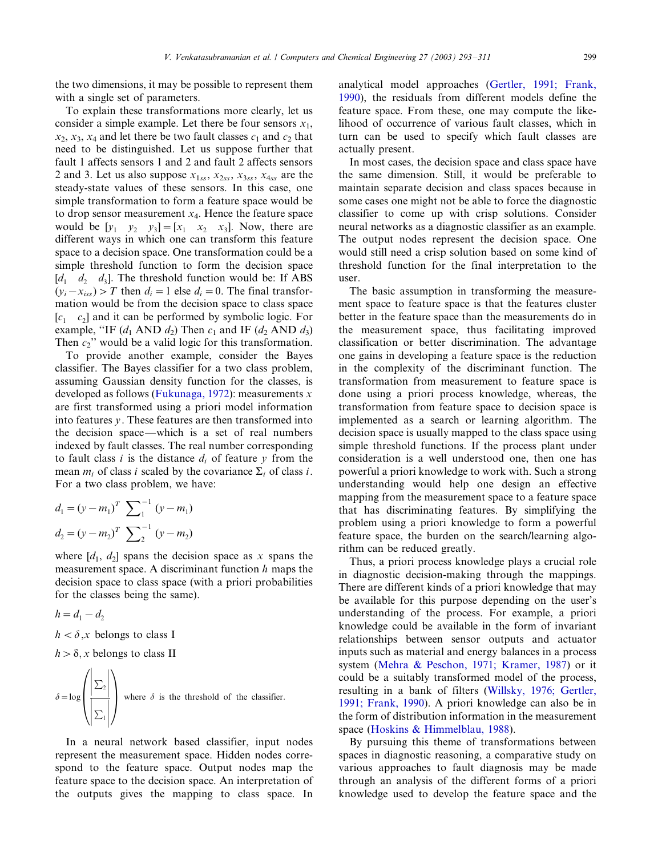the two dimensions, it may be possible to represent them with a single set of parameters.

To explain these transformations more clearly, let us consider a simple example. Let there be four sensors  $x_1$ ,  $x_2$ ,  $x_3$ ,  $x_4$  and let there be two fault classes  $c_1$  and  $c_2$  that need to be distinguished. Let us suppose further that fault 1 affects sensors 1 and 2 and fault 2 affects sensors 2 and 3. Let us also suppose  $x_{1ss}$ ,  $x_{2ss}$ ,  $x_{3ss}$ ,  $x_{4ss}$  are the steady-state values of these sensors. In this case, one simple transformation to form a feature space would be to drop sensor measurement  $x_4$ . Hence the feature space would be  $[y_1 \quad y_2 \quad y_3] = [x_1 \quad x_2 \quad x_3]$ . Now, there are different ways in which one can transform this feature space to a decision space. One transformation could be a simple threshold function to form the decision space  $[d_1 \quad d_2 \quad d_3]$ . The threshold function would be: If ABS  $(y_i-x_{iss})$  > T then  $d_i = 1$  else  $d_i = 0$ . The final transformation would be from the decision space to class space  $[c_1 \ c_2]$  and it can be performed by symbolic logic. For example, "IF  $(d_1 \text{ AND } d_2)$  Then  $c_1$  and IF  $(d_2 \text{ AND } d_3)$ Then  $c_2$ " would be a valid logic for this transformation.

To provide another example, consider the Bayes classifier. The Bayes classifier for a two class problem, assuming Gaussian density function for the classes, is developed as follows (Fukunaga, 1972): measurements  $x$ are first transformed using a priori model information into features y. These features are then transformed into the decision space—which is a set of real numbers indexed by fault classes. The real number corresponding to fault class i is the distance  $d_i$  of feature y from the mean  $m_i$  of class i scaled by the covariance  $\Sigma_i$  of class i. For a two class problem, we have:

$$
d_1 = (y - m_1)^T \sum_1^{-1} (y - m_1)
$$
  

$$
d_2 = (y - m_2)^T \sum_2^{-1} (y - m_2)
$$

where  $[d_1, d_2]$  spans the decision space as x spans the measurement space. A discriminant function  $h$  maps the decision space to class space (with a priori probabilities for the classes being the same).

$$
h = d_1 - d_2
$$

 $h < \delta, x$  belongs to class I

$$
h > \delta
$$
, x belongs to class II

$$
\delta = \log \left( \frac{\sum_{2}}{\sum_{i}} \right)
$$
 where  $\delta$  is the threshold of the classifier.

In a neural network based classifier, input nodes represent the measurement space. Hidden nodes correspond to the feature space. Output nodes map the feature space to the decision space. An interpretation of the outputs gives the mapping to class space. In

analytical model approaches (Gertler, 1991; Frank, 1990), the residuals from different models define the feature space. From these, one may compute the likelihood of occurrence of various fault classes, which in turn can be used to specify which fault classes are actually present.

In most cases, the decision space and class space have the same dimension. Still, it would be preferable to maintain separate decision and class spaces because in some cases one might not be able to force the diagnostic classifier to come up with crisp solutions. Consider neural networks as a diagnostic classifier as an example. The output nodes represent the decision space. One would still need a crisp solution based on some kind of threshold function for the final interpretation to the user.

The basic assumption in transforming the measurement space to feature space is that the features cluster better in the feature space than the measurements do in the measurement space, thus facilitating improved classification or better discrimination. The advantage one gains in developing a feature space is the reduction in the complexity of the discriminant function. The transformation from measurement to feature space is done using a priori process knowledge, whereas, the transformation from feature space to decision space is implemented as a search or learning algorithm. The decision space is usually mapped to the class space using simple threshold functions. If the process plant under consideration is a well understood one, then one has powerful a priori knowledge to work with. Such a strong understanding would help one design an effective mapping from the measurement space to a feature space that has discriminating features. By simplifying the problem using a priori knowledge to form a powerful feature space, the burden on the search/learning algorithm can be reduced greatly.

Thus, a priori process knowledge plays a crucial role in diagnostic decision-making through the mappings. There are different kinds of a priori knowledge that may be available for this purpose depending on the user's understanding of the process. For example, a priori knowledge could be available in the form of invariant relationships between sensor outputs and actuator inputs such as material and energy balances in a process system (Mehra & Peschon, 1971; Kramer, 1987) or it could be a suitably transformed model of the process, resulting in a bank of filters (Willsky, 1976; Gertler, 1991; Frank, 1990). A priori knowledge can also be in the form of distribution information in the measurement space (Hoskins & Himmelblau, 1988).

By pursuing this theme of transformations between spaces in diagnostic reasoning, a comparative study on various approaches to fault diagnosis may be made through an analysis of the different forms of a priori knowledge used to develop the feature space and the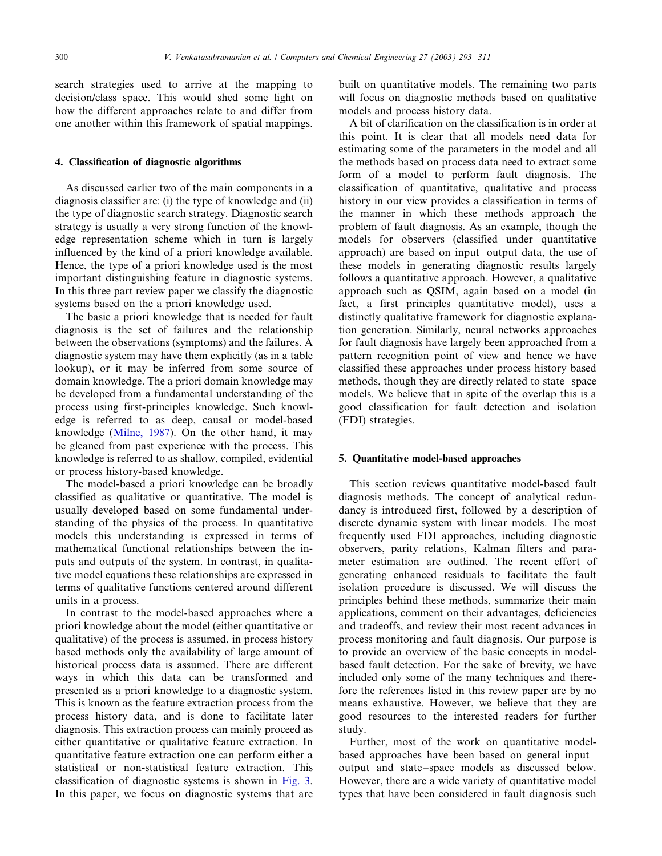search strategies used to arrive at the mapping to decision/class space. This would shed some light on how the different approaches relate to and differ from one another within this framework of spatial mappings.

#### 4. Classification of diagnostic algorithms

As discussed earlier two of the main components in a diagnosis classifier are: (i) the type of knowledge and (ii) the type of diagnostic search strategy. Diagnostic search strategy is usually a very strong function of the knowledge representation scheme which in turn is largely influenced by the kind of a priori knowledge available. Hence, the type of a priori knowledge used is the most important distinguishing feature in diagnostic systems. In this three part review paper we classify the diagnostic systems based on the a priori knowledge used.

The basic a priori knowledge that is needed for fault diagnosis is the set of failures and the relationship between the observations (symptoms) and the failures. A diagnostic system may have them explicitly (as in a table lookup), or it may be inferred from some source of domain knowledge. The a priori domain knowledge may be developed from a fundamental understanding of the process using first-principles knowledge. Such knowledge is referred to as deep, causal or model-based knowledge (Milne, 1987). On the other hand, it may be gleaned from past experience with the process. This knowledge is referred to as shallow, compiled, evidential or process history-based knowledge.

The model-based a priori knowledge can be broadly classified as qualitative or quantitative. The model is usually developed based on some fundamental understanding of the physics of the process. In quantitative models this understanding is expressed in terms of mathematical functional relationships between the inputs and outputs of the system. In contrast, in qualitative model equations these relationships are expressed in terms of qualitative functions centered around different units in a process.

In contrast to the model-based approaches where a priori knowledge about the model (either quantitative or qualitative) of the process is assumed, in process history based methods only the availability of large amount of historical process data is assumed. There are different ways in which this data can be transformed and presented as a priori knowledge to a diagnostic system. This is known as the feature extraction process from the process history data, and is done to facilitate later diagnosis. This extraction process can mainly proceed as either quantitative or qualitative feature extraction. In quantitative feature extraction one can perform either a statistical or non-statistical feature extraction. This classification of diagnostic systems is shown in Fig. 3. In this paper, we focus on diagnostic systems that are

built on quantitative models. The remaining two parts will focus on diagnostic methods based on qualitative models and process history data.

A bit of clarification on the classification is in order at this point. It is clear that all models need data for estimating some of the parameters in the model and all the methods based on process data need to extract some form of a model to perform fault diagnosis. The classification of quantitative, qualitative and process history in our view provides a classification in terms of the manner in which these methods approach the problem of fault diagnosis. As an example, though the models for observers (classified under quantitative approach) are based on input-output data, the use of these models in generating diagnostic results largely follows a quantitative approach. However, a qualitative approach such as QSIM, again based on a model (in fact, a first principles quantitative model), uses a distinctly qualitative framework for diagnostic explanation generation. Similarly, neural networks approaches for fault diagnosis have largely been approached from a pattern recognition point of view and hence we have classified these approaches under process history based methods, though they are directly related to state-space models. We believe that in spite of the overlap this is a good classification for fault detection and isolation (FDI) strategies.

#### 5. Quantitative model-based approaches

This section reviews quantitative model-based fault diagnosis methods. The concept of analytical redundancy is introduced first, followed by a description of discrete dynamic system with linear models. The most frequently used FDI approaches, including diagnostic observers, parity relations, Kalman filters and parameter estimation are outlined. The recent effort of generating enhanced residuals to facilitate the fault isolation procedure is discussed. We will discuss the principles behind these methods, summarize their main applications, comment on their advantages, deficiencies and tradeoffs, and review their most recent advances in process monitoring and fault diagnosis. Our purpose is to provide an overview of the basic concepts in modelbased fault detection. For the sake of brevity, we have included only some of the many techniques and therefore the references listed in this review paper are by no means exhaustive. However, we believe that they are good resources to the interested readers for further study.

Further, most of the work on quantitative modelbased approaches have been based on general inputoutput and state-space models as discussed below. However, there are a wide variety of quantitative model types that have been considered in fault diagnosis such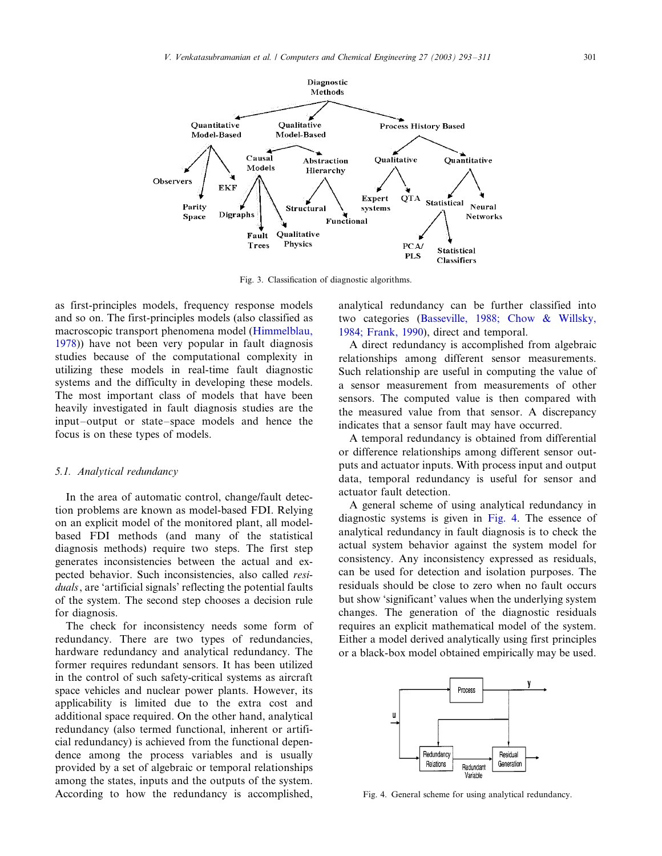

Fig. 3. Classification of diagnostic algorithms.

as first-principles models, frequency response models and so on. The first-principles models (also classified as macroscopic transport phenomena model (Himmelblau, 1978)) have not been very popular in fault diagnosis studies because of the computational complexity in utilizing these models in real-time fault diagnostic systems and the difficulty in developing these models. The most important class of models that have been heavily investigated in fault diagnosis studies are the input-output or state-space models and hence the focus is on these types of models.

#### 5.1. Analytical redundancy

In the area of automatic control, change/fault detection problems are known as model-based FDI. Relying on an explicit model of the monitored plant, all modelbased FDI methods (and many of the statistical diagnosis methods) require two steps. The first step generates inconsistencies between the actual and expected behavior. Such inconsistencies, also called residuals, are 'artificial signals' reflecting the potential faults of the system. The second step chooses a decision rule for diagnosis.

The check for inconsistency needs some form of redundancy. There are two types of redundancies, hardware redundancy and analytical redundancy. The former requires redundant sensors. It has been utilized in the control of such safety-critical systems as aircraft space vehicles and nuclear power plants. However, its applicability is limited due to the extra cost and additional space required. On the other hand, analytical redundancy (also termed functional, inherent or artificial redundancy) is achieved from the functional dependence among the process variables and is usually provided by a set of algebraic or temporal relationships among the states, inputs and the outputs of the system. According to how the redundancy is accomplished,

analytical redundancy can be further classified into two categories (Basseville, 1988; Chow & Willsky, 1984; Frank, 1990), direct and temporal.

A direct redundancy is accomplished from algebraic relationships among different sensor measurements. Such relationship are useful in computing the value of a sensor measurement from measurements of other sensors. The computed value is then compared with the measured value from that sensor. A discrepancy indicates that a sensor fault may have occurred.

A temporal redundancy is obtained from differential or difference relationships among different sensor outputs and actuator inputs. With process input and output data, temporal redundancy is useful for sensor and actuator fault detection.

A general scheme of using analytical redundancy in diagnostic systems is given in Fig. 4. The essence of analytical redundancy in fault diagnosis is to check the actual system behavior against the system model for consistency. Any inconsistency expressed as residuals, can be used for detection and isolation purposes. The residuals should be close to zero when no fault occurs but show 'significant' values when the underlying system changes. The generation of the diagnostic residuals requires an explicit mathematical model of the system. Either a model derived analytically using first principles or a black-box model obtained empirically may be used.



Fig. 4. General scheme for using analytical redundancy.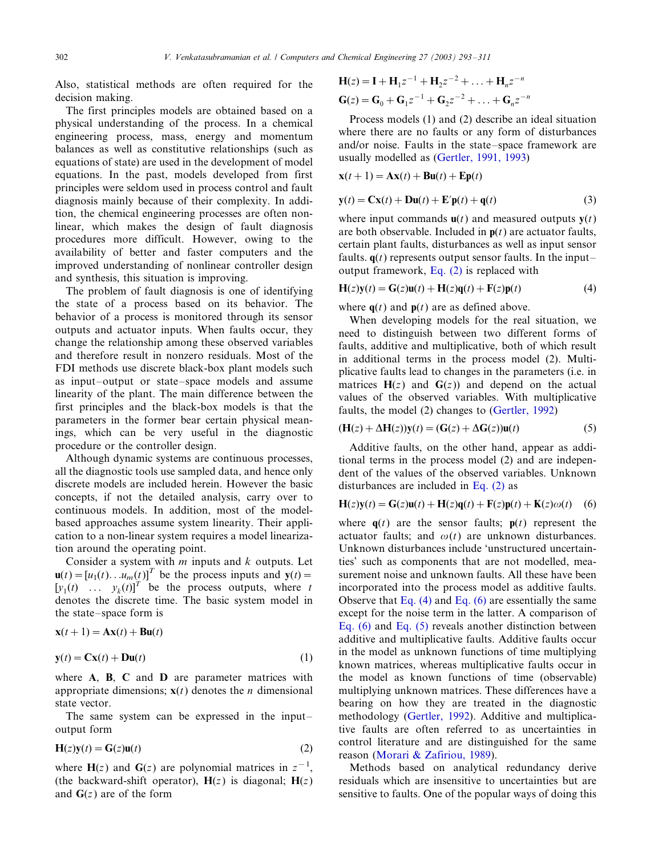Also, statistical methods are often required for the decision making.

The first principles models are obtained based on a physical understanding of the process. In a chemical engineering process, mass, energy and momentum balances as well as constitutive relationships (such as equations of state) are used in the development of model equations. In the past, models developed from first principles were seldom used in process control and fault diagnosis mainly because of their complexity. In addition, the chemical engineering processes are often nonlinear, which makes the design of fault diagnosis procedures more difficult. However, owing to the availability of better and faster computers and the improved understanding of nonlinear controller design and synthesis, this situation is improving.

The problem of fault diagnosis is one of identifying the state of a process based on its behavior. The behavior of a process is monitored through its sensor outputs and actuator inputs. When faults occur, they change the relationship among these observed variables and therefore result in nonzero residuals. Most of the FDI methods use discrete black-box plant models such as input-output or state-space models and assume linearity of the plant. The main difference between the first principles and the black-box models is that the parameters in the former bear certain physical meanings, which can be very useful in the diagnostic procedure or the controller design.

Although dynamic systems are continuous processes, all the diagnostic tools use sampled data, and hence only discrete models are included herein. However the basic concepts, if not the detailed analysis, carry over to continuous models. In addition, most of the modelbased approaches assume system linearity. Their application to a non-linear system requires a model linearization around the operating point.

Consider a system with  $m$  inputs and  $k$  outputs. Let  $\mathbf{u}(t) = [u_1(t) \dots u_m(t)]^T$  be the process inputs and  $\mathbf{y}(t) =$  $[y_1(t)$  ...  $y_k(t)]^T$  be the process outputs, where t denotes the discrete time. The basic system model in the state-space form is

$$
\mathbf{x}(t+1) = \mathbf{A}\mathbf{x}(t) + \mathbf{B}\mathbf{u}(t)
$$

$$
\mathbf{y}(t) = \mathbf{C}\mathbf{x}(t) + \mathbf{D}\mathbf{u}(t) \tag{1}
$$

where  $A$ ,  $B$ ,  $C$  and  $D$  are parameter matrices with appropriate dimensions;  $x(t)$  denotes the *n* dimensional state vector.

The same system can be expressed in the inputoutput form

$$
\mathbf{H}(z)\mathbf{y}(t) = \mathbf{G}(z)\mathbf{u}(t) \tag{2}
$$

where H(z) and G(z) are polynomial matrices in  $z^{-1}$ , (the backward-shift operator),  $H(z)$  is diagonal;  $H(z)$ and  $G(z)$  are of the form

$$
H(z) = I + H_1 z^{-1} + H_2 z^{-2} + \dots + H_n z^{-n}
$$
  
\n
$$
G(z) = G_0 + G_1 z^{-1} + G_2 z^{-2} + \dots + G_n z^{-n}
$$

Process models (1) and (2) describe an ideal situation where there are no faults or any form of disturbances and/or noise. Faults in the state-space framework are usually modelled as (Gertler, 1991, 1993)

$$
\mathbf{x}(t+1) = \mathbf{A}\mathbf{x}(t) + \mathbf{B}\mathbf{u}(t) + \mathbf{E}\mathbf{p}(t)
$$

$$
\mathbf{y}(t) = \mathbf{C}\mathbf{x}(t) + \mathbf{D}\mathbf{u}(t) + \mathbf{E}'\mathbf{p}(t) + \mathbf{q}(t)
$$
 (3)

where input commands  $\mathbf{u}(t)$  and measured outputs  $\mathbf{y}(t)$ are both observable. Included in  $p(t)$  are actuator faults, certain plant faults, disturbances as well as input sensor faults.  $q(t)$  represents output sensor faults. In the inputoutput framework, Eq. (2) is replaced with

$$
\mathbf{H}(z)\mathbf{y}(t) = \mathbf{G}(z)\mathbf{u}(t) + \mathbf{H}(z)\mathbf{q}(t) + \mathbf{F}(z)\mathbf{p}(t)
$$
(4)

where  $q(t)$  and  $p(t)$  are as defined above.

When developing models for the real situation, we need to distinguish between two different forms of faults, additive and multiplicative, both of which result in additional terms in the process model (2). Multiplicative faults lead to changes in the parameters (i.e. in matrices  $H(z)$  and  $G(z)$  and depend on the actual values of the observed variables. With multiplicative faults, the model (2) changes to (Gertler, 1992)

$$
(\mathbf{H}(z) + \Delta \mathbf{H}(z))\mathbf{y}(t) = (\mathbf{G}(z) + \Delta \mathbf{G}(z))\mathbf{u}(t)
$$
\n(5)

Additive faults, on the other hand, appear as additional terms in the process model (2) and are independent of the values of the observed variables. Unknown disturbances are included in Eq. (2) as

$$
\mathbf{H}(z)\mathbf{y}(t) = \mathbf{G}(z)\mathbf{u}(t) + \mathbf{H}(z)\mathbf{q}(t) + \mathbf{F}(z)\mathbf{p}(t) + \mathbf{K}(z)\omega(t) \quad (6)
$$

where  $q(t)$  are the sensor faults;  $p(t)$  represent the actuator faults; and  $\omega(t)$  are unknown disturbances. Unknown disturbances include 'unstructured uncertainties' such as components that are not modelled, measurement noise and unknown faults. All these have been incorporated into the process model as additive faults. Observe that Eq.  $(4)$  and Eq.  $(6)$  are essentially the same except for the noise term in the latter. A comparison of Eq. (6) and Eq. (5) reveals another distinction between additive and multiplicative faults. Additive faults occur in the model as unknown functions of time multiplying known matrices, whereas multiplicative faults occur in the model as known functions of time (observable) multiplying unknown matrices. These differences have a bearing on how they are treated in the diagnostic methodology (Gertler, 1992). Additive and multiplicative faults are often referred to as uncertainties in control literature and are distinguished for the same reason (Morari & Zafiriou, 1989).

Methods based on analytical redundancy derive residuals which are insensitive to uncertainties but are sensitive to faults. One of the popular ways of doing this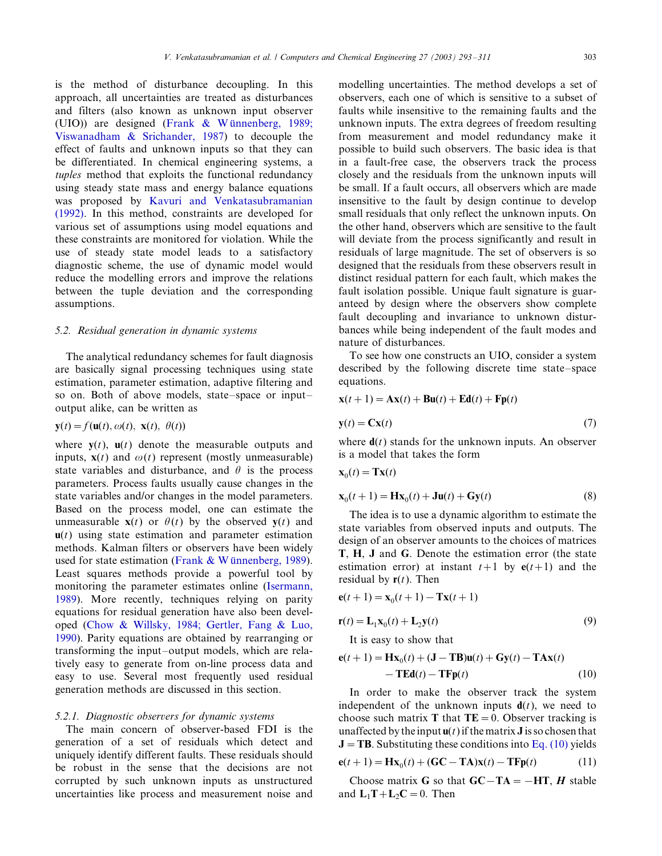is the method of disturbance decoupling. In this approach, all uncertainties are treated as disturbances and filters (also known as unknown input observer (UIO)) are designed (Frank & Wünnenberg, 1989; Viswanadham & Srichander, 1987) to decouple the effect of faults and unknown inputs so that they can be differentiated. In chemical engineering systems, a tuples method that exploits the functional redundancy using steady state mass and energy balance equations was proposed by Kavuri and Venkatasubramanian (1992). In this method, constraints are developed for various set of assumptions using model equations and these constraints are monitored for violation. While the use of steady state model leads to a satisfactory diagnostic scheme, the use of dynamic model would reduce the modelling errors and improve the relations between the tuple deviation and the corresponding assumptions.

#### 5.2. Residual generation in dynamic systems

The analytical redundancy schemes for fault diagnosis are basically signal processing techniques using state estimation, parameter estimation, adaptive filtering and so on. Both of above models, state-space or inputoutput alike, can be written as

$$
\mathbf{y}(t) = f(\mathbf{u}(t), \omega(t), \mathbf{x}(t), \theta(t))
$$

where  $y(t)$ ,  $u(t)$  denote the measurable outputs and inputs,  $\mathbf{x}(t)$  and  $\omega(t)$  represent (mostly unmeasurable) state variables and disturbance, and  $\theta$  is the process parameters. Process faults usually cause changes in the state variables and/or changes in the model parameters. Based on the process model, one can estimate the unmeasurable  $\mathbf{x}(t)$  or  $\theta(t)$  by the observed  $\mathbf{y}(t)$  and  $u(t)$  using state estimation and parameter estimation methods. Kalman filters or observers have been widely used for state estimation (Frank  $&$  W ünnenberg, 1989). Least squares methods provide a powerful tool by monitoring the parameter estimates online (Isermann, 1989). More recently, techniques relying on parity equations for residual generation have also been developed (Chow & Willsky, 1984; Gertler, Fang & Luo, 1990). Parity equations are obtained by rearranging or transforming the input-output models, which are relatively easy to generate from on-line process data and easy to use. Several most frequently used residual generation methods are discussed in this section.

## 5.2.1. Diagnostic observers for dynamic systems

The main concern of observer-based FDI is the generation of a set of residuals which detect and uniquely identify different faults. These residuals should be robust in the sense that the decisions are not corrupted by such unknown inputs as unstructured uncertainties like process and measurement noise and modelling uncertainties. The method develops a set of observers, each one of which is sensitive to a subset of faults while insensitive to the remaining faults and the unknown inputs. The extra degrees of freedom resulting from measurement and model redundancy make it possible to build such observers. The basic idea is that in a fault-free case, the observers track the process closely and the residuals from the unknown inputs will be small. If a fault occurs, all observers which are made insensitive to the fault by design continue to develop small residuals that only reflect the unknown inputs. On the other hand, observers which are sensitive to the fault will deviate from the process significantly and result in residuals of large magnitude. The set of observers is so designed that the residuals from these observers result in distinct residual pattern for each fault, which makes the fault isolation possible. Unique fault signature is guaranteed by design where the observers show complete fault decoupling and invariance to unknown disturbances while being independent of the fault modes and nature of disturbances.

To see how one constructs an UIO, consider a system described by the following discrete time state-space equations.

$$
\mathbf{x}(t+1) = \mathbf{A}\mathbf{x}(t) + \mathbf{B}\mathbf{u}(t) + \mathbf{E}\mathbf{d}(t) + \mathbf{F}\mathbf{p}(t)
$$
  

$$
\mathbf{y}(t) = \mathbf{C}\mathbf{x}(t) \tag{7}
$$

where  $\mathbf{d}(t)$  stands for the unknown inputs. An observer is a model that takes the form

$$
\mathbf{x}_0(t) = \mathbf{T}\mathbf{x}(t)
$$
  

$$
\mathbf{x}_0(t+1) = \mathbf{H}\mathbf{x}_0(t) + \mathbf{J}\mathbf{u}(t) + \mathbf{G}\mathbf{y}(t)
$$
 (8)

The idea is to use a dynamic algorithm to estimate the state variables from observed inputs and outputs. The design of an observer amounts to the choices of matrices T, H, J and G. Denote the estimation error (the state estimation error) at instant  $t+1$  by  $e(t+1)$  and the residual by  $r(t)$ . Then

$$
\mathbf{e}(t+1) = \mathbf{x}_0(t+1) - \mathbf{T}\mathbf{x}(t+1)
$$

$$
\mathbf{r}(t) = \mathbf{L}_1 \mathbf{x}_0(t) + \mathbf{L}_2 \mathbf{y}(t)
$$
(9)

It is easy to show that

$$
\mathbf{e}(t+1) = \mathbf{H}\mathbf{x}_0(t) + (\mathbf{J} - \mathbf{T}\mathbf{B})\mathbf{u}(t) + \mathbf{G}\mathbf{y}(t) - \mathbf{T}\mathbf{A}\mathbf{x}(t)
$$

$$
-\mathbf{T}\mathbf{E}\mathbf{d}(t) - \mathbf{T}\mathbf{F}\mathbf{p}(t) \tag{10}
$$

In order to make the observer track the system independent of the unknown inputs  $d(t)$ , we need to choose such matrix T that  $TE = 0$ . Observer tracking is unaffected by the input  $\mathbf{u}(t)$  if the matrix **J** is so chosen that  $J = TB$ . Substituting these conditions into Eq. (10) yields

$$
\mathbf{e}(t+1) = \mathbf{H}\mathbf{x}_0(t) + (\mathbf{G}\mathbf{C} - \mathbf{T}\mathbf{A})\mathbf{x}(t) - \mathbf{T}\mathbf{F}\mathbf{p}(t)
$$
 (11)

Choose matrix **G** so that  $GC-TA = -HT$ , *H* stable and  $L_1T+L_2C=0$ . Then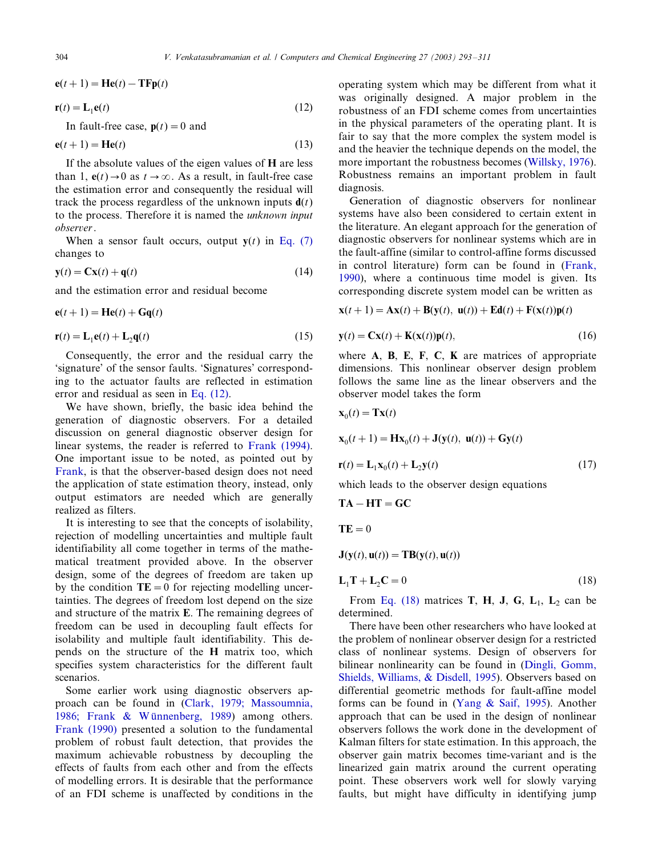$$
\mathbf{e}(t+1) = \mathbf{H}\mathbf{e}(t) - \mathbf{T}\mathbf{F}\mathbf{p}(t)
$$
  

$$
\mathbf{r}(t) = \mathbf{L}_1 \mathbf{e}(t)
$$
 (12)

In fault-free case,  $p(t) = 0$  and

$$
\mathbf{e}(t+1) = \mathbf{H}\mathbf{e}(t) \tag{13}
$$

If the absolute values of the eigen values of H are less than 1,  $e(t) \rightarrow 0$  as  $t \rightarrow \infty$ . As a result, in fault-free case the estimation error and consequently the residual will track the process regardless of the unknown inputs  $d(t)$ to the process. Therefore it is named the unknown input observer.

When a sensor fault occurs, output  $y(t)$  in Eq. (7) changes to

$$
\mathbf{y}(t) = \mathbf{C}\mathbf{x}(t) + \mathbf{q}(t) \tag{14}
$$

and the estimation error and residual become

$$
\mathbf{e}(t+1) = \mathbf{H}\mathbf{e}(t) + \mathbf{G}\mathbf{q}(t)
$$
  

$$
\mathbf{r}(t) = \mathbf{L}_1 \mathbf{e}(t) + \mathbf{L}_2 \mathbf{q}(t)
$$
 (15)

Consequently, the error and the residual carry the 'signature' of the sensor faults. 'Signatures' corresponding to the actuator faults are reflected in estimation error and residual as seen in Eq. (12).

We have shown, briefly, the basic idea behind the generation of diagnostic observers. For a detailed discussion on general diagnostic observer design for linear systems, the reader is referred to Frank (1994). One important issue to be noted, as pointed out by Frank, is that the observer-based design does not need the application of state estimation theory, instead, only output estimators are needed which are generally realized as filters.

It is interesting to see that the concepts of isolability, rejection of modelling uncertainties and multiple fault identifiability all come together in terms of the mathematical treatment provided above. In the observer design, some of the degrees of freedom are taken up by the condition  $TE = 0$  for rejecting modelling uncertainties. The degrees of freedom lost depend on the size and structure of the matrix E. The remaining degrees of freedom can be used in decoupling fault effects for isolability and multiple fault identifiability. This depends on the structure of the H matrix too, which specifies system characteristics for the different fault scenarios.

Some earlier work using diagnostic observers approach can be found in (Clark, 1979; Massoumnia, 1986; Frank & Wünnenberg, 1989) among others. Frank (1990) presented a solution to the fundamental problem of robust fault detection, that provides the maximum achievable robustness by decoupling the effects of faults from each other and from the effects of modelling errors. It is desirable that the performance of an FDI scheme is unaffected by conditions in the

operating system which may be different from what it was originally designed. A major problem in the robustness of an FDI scheme comes from uncertainties in the physical parameters of the operating plant. It is fair to say that the more complex the system model is and the heavier the technique depends on the model, the more important the robustness becomes (Willsky, 1976). Robustness remains an important problem in fault diagnosis.

Generation of diagnostic observers for nonlinear systems have also been considered to certain extent in the literature. An elegant approach for the generation of diagnostic observers for nonlinear systems which are in the fault-affine (similar to control-affine forms discussed in control literature) form can be found in (Frank, 1990), where a continuous time model is given. Its corresponding discrete system model can be written as

$$
\mathbf{x}(t+1) = \mathbf{A}\mathbf{x}(t) + \mathbf{B}(\mathbf{y}(t), \mathbf{u}(t)) + \mathbf{E}\mathbf{d}(t) + \mathbf{F}(\mathbf{x}(t))\mathbf{p}(t)
$$
  

$$
\mathbf{y}(t) = \mathbf{C}\mathbf{x}(t) + \mathbf{K}(\mathbf{x}(t))\mathbf{p}(t),
$$
 (16)

where  $A$ ,  $B$ ,  $E$ ,  $F$ ,  $C$ ,  $K$  are matrices of appropriate dimensions. This nonlinear observer design problem follows the same line as the linear observers and the observer model takes the form

$$
\mathbf{x}_0(t) = \mathbf{T}\mathbf{x}(t)
$$
  
\n
$$
\mathbf{x}_0(t+1) = \mathbf{H}\mathbf{x}_0(t) + \mathbf{J}(\mathbf{y}(t), \mathbf{u}(t)) + \mathbf{G}\mathbf{y}(t)
$$
  
\n
$$
\mathbf{r}(t) = \mathbf{L}_1 \mathbf{x}_0(t) + \mathbf{L}_2 \mathbf{y}(t)
$$
\n(17)

which leads to the observer design equations

 $TA - HT = GC$ 

$$
\mathbf{TE} = 0
$$

$$
\mathbf{J}(\mathbf{y}(t), \mathbf{u}(t)) = \mathbf{T}\mathbf{B}(\mathbf{y}(t), \mathbf{u}(t))
$$

$$
\mathbf{L}_1 \mathbf{T} + \mathbf{L}_2 \mathbf{C} = 0 \tag{18}
$$

From Eq. (18) matrices T, H, J, G,  $L_1$ ,  $L_2$  can be determined.

There have been other researchers who have looked at the problem of nonlinear observer design for a restricted class of nonlinear systems. Design of observers for bilinear nonlinearity can be found in (Dingli, Gomm, Shields, Williams, & Disdell, 1995). Observers based on differential geometric methods for fault-affine model forms can be found in (Yang & Saif, 1995). Another approach that can be used in the design of nonlinear observers follows the work done in the development of Kalman filters for state estimation. In this approach, the observer gain matrix becomes time-variant and is the linearized gain matrix around the current operating point. These observers work well for slowly varying faults, but might have difficulty in identifying jump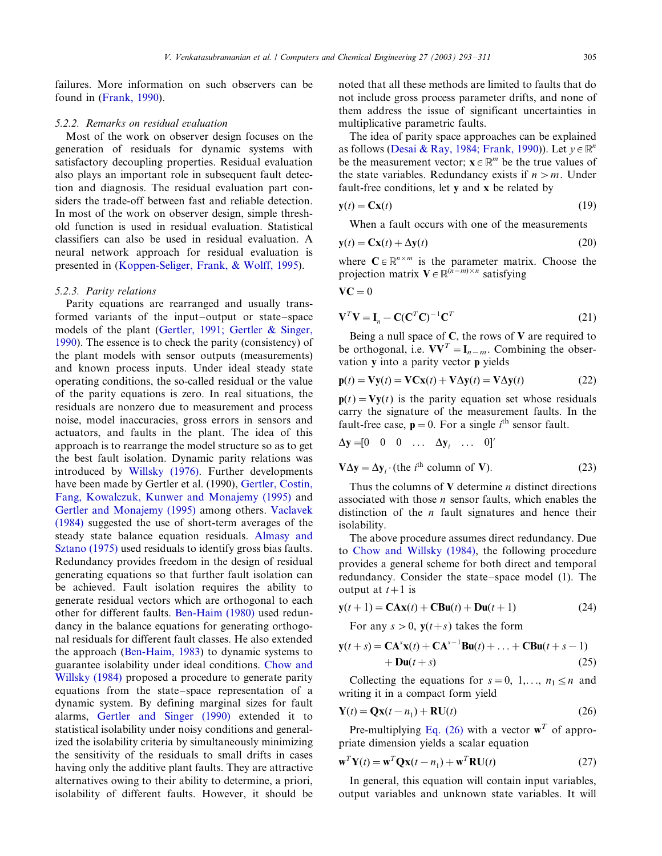failures. More information on such observers can be found in (Frank, 1990).

# 5.2.2. Remarks on residual evaluation

Most of the work on observer design focuses on the generation of residuals for dynamic systems with satisfactory decoupling properties. Residual evaluation also plays an important role in subsequent fault detection and diagnosis. The residual evaluation part considers the trade-off between fast and reliable detection. In most of the work on observer design, simple threshold function is used in residual evaluation. Statistical classifiers can also be used in residual evaluation. A neural network approach for residual evaluation is presented in (Koppen-Seliger, Frank, & Wolff, 1995).

#### 5.2.3. Parity relations

Parity equations are rearranged and usually transformed variants of the input-output or state-space models of the plant (Gertler, 1991; Gertler & Singer, 1990). The essence is to check the parity (consistency) of the plant models with sensor outputs (measurements) and known process inputs. Under ideal steady state operating conditions, the so-called residual or the value of the parity equations is zero. In real situations, the residuals are nonzero due to measurement and process noise, model inaccuracies, gross errors in sensors and actuators, and faults in the plant. The idea of this approach is to rearrange the model structure so as to get the best fault isolation. Dynamic parity relations was introduced by Willsky (1976). Further developments have been made by Gertler et al. (1990), Gertler, Costin, Fang, Kowalczuk, Kunwer and Monajemy (1995) and Gertler and Monajemy (1995) among others. Vaclavek (1984) suggested the use of short-term averages of the steady state balance equation residuals. Almasy and Sztano (1975) used residuals to identify gross bias faults. Redundancy provides freedom in the design of residual generating equations so that further fault isolation can be achieved. Fault isolation requires the ability to generate residual vectors which are orthogonal to each other for different faults. Ben-Haim (1980) used redundancy in the balance equations for generating orthogonal residuals for different fault classes. He also extended the approach (Ben-Haim, 1983) to dynamic systems to guarantee isolability under ideal conditions. Chow and Willsky (1984) proposed a procedure to generate parity equations from the state–space representation of a dynamic system. By defining marginal sizes for fault alarms, Gertler and Singer (1990) extended it to statistical isolability under noisy conditions and generalized the isolability criteria by simultaneously minimizing the sensitivity of the residuals to small drifts in cases having only the additive plant faults. They are attractive alternatives owing to their ability to determine, a priori, isolability of different faults. However, it should be

noted that all these methods are limited to faults that do not include gross process parameter drifts, and none of them address the issue of significant uncertainties in multiplicative parametric faults.

The idea of parity space approaches can be explained as follows (Desai & Ray, 1984; Frank, 1990)). Let  $y \in \mathbb{R}^n$ be the measurement vector;  $\mathbf{x} \in \mathbb{R}^m$  be the true values of the state variables. Redundancy exists if  $n > m$ . Under fault-free conditions, let y and x be related by

$$
\mathbf{y}(t) = \mathbf{C}\mathbf{x}(t) \tag{19}
$$

When a fault occurs with one of the measurements

$$
\mathbf{y}(t) = \mathbf{C}\mathbf{x}(t) + \Delta \mathbf{y}(t) \tag{20}
$$

where  $C \in \mathbb{R}^{n \times m}$  is the parameter matrix. Choose the projection matrix  $\mathbf{V} \in \mathbb{R}^{(n-m)\times n}$  satisfying

$$
\mathbf{V}\mathbf{C}=0
$$

$$
\mathbf{V}^T \mathbf{V} = \mathbf{I}_n - \mathbf{C} (\mathbf{C}^T \mathbf{C})^{-1} \mathbf{C}^T
$$
 (21)

Being a null space of  $C$ , the rows of  $V$  are required to be orthogonal, i.e.  $VV<sup>T</sup> = I<sub>n-m</sub>$ . Combining the observation y into a parity vector p yields

$$
\mathbf{p}(t) = \mathbf{V}\mathbf{y}(t) = \mathbf{V}\mathbf{C}\mathbf{x}(t) + \mathbf{V}\Delta\mathbf{y}(t) = \mathbf{V}\Delta\mathbf{y}(t)
$$
 (22)

 $p(t) = Vy(t)$  is the parity equation set whose residuals carry the signature of the measurement faults. In the fault-free case,  $p = 0$ . For a single i<sup>th</sup> sensor fault.

$$
\Delta \mathbf{y} = [0 \quad 0 \quad 0 \quad \dots \quad \Delta \mathbf{y}_i \quad \dots \quad 0]'
$$
  

$$
\mathbf{V} \Delta \mathbf{y} = \Delta \mathbf{y}_i \cdot (\text{the } i^{\text{th}} \text{ column of } \mathbf{V}).
$$
 (23)

Thus the columns of  $V$  determine  $n$  distinct directions associated with those  $n$  sensor faults, which enables the distinction of the  $n$  fault signatures and hence their isolability.

The above procedure assumes direct redundancy. Due to Chow and Willsky (1984), the following procedure provides a general scheme for both direct and temporal redundancy. Consider the state-space model (1). The output at  $t+1$  is

$$
\mathbf{y}(t+1) = \mathbf{C} \mathbf{A} \mathbf{x}(t) + \mathbf{C} \mathbf{B} \mathbf{u}(t) + \mathbf{D} \mathbf{u}(t+1) \tag{24}
$$

For any  $s > 0$ ,  $y(t+s)$  takes the form

$$
\mathbf{y}(t+s) = \mathbf{C}\mathbf{A}^{s}\mathbf{x}(t) + \mathbf{C}\mathbf{A}^{s-1}\mathbf{B}\mathbf{u}(t) + \ldots + \mathbf{C}\mathbf{B}\mathbf{u}(t+s-1) + \mathbf{D}\mathbf{u}(t+s)
$$
 (25)

Collecting the equations for  $s=0, 1,..., n_1\leq n$  and writing it in a compact form yield

$$
\mathbf{Y}(t) = \mathbf{Q}\mathbf{x}(t - n_1) + \mathbf{R}\mathbf{U}(t)
$$
 (26)

Pre-multiplying Eq. (26) with a vector  $w<sup>T</sup>$  of appropriate dimension yields a scalar equation

$$
\mathbf{w}^T \mathbf{Y}(t) = \mathbf{w}^T \mathbf{Q} \mathbf{x}(t - n_1) + \mathbf{w}^T \mathbf{R} \mathbf{U}(t)
$$
 (27)

In general, this equation will contain input variables, output variables and unknown state variables. It will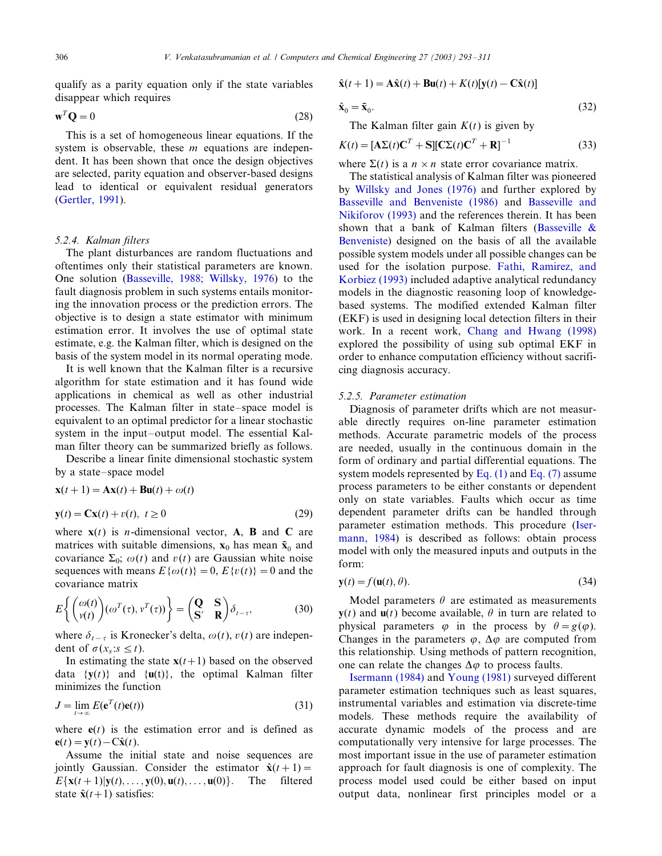qualify as a parity equation only if the state variables disappear which requires

$$
\mathbf{w}^T \mathbf{Q} = 0 \tag{28}
$$

This is a set of homogeneous linear equations. If the system is observable, these  $m$  equations are independent. It has been shown that once the design objectives are selected, parity equation and observer-based designs lead to identical or equivalent residual generators (Gertler, 1991).

### 5.2.4. Kalman filters

The plant disturbances are random fluctuations and oftentimes only their statistical parameters are known. One solution (Basseville, 1988; Willsky, 1976) to the fault diagnosis problem in such systems entails monitoring the innovation process or the prediction errors. The objective is to design a state estimator with minimum estimation error. It involves the use of optimal state estimate, e.g. the Kalman filter, which is designed on the basis of the system model in its normal operating mode.

It is well known that the Kalman filter is a recursive algorithm for state estimation and it has found wide applications in chemical as well as other industrial processes. The Kalman filter in state-space model is equivalent to an optimal predictor for a linear stochastic system in the input-output model. The essential Kalman filter theory can be summarized briefly as follows.

Describe a linear finite dimensional stochastic system by a state-space model

$$
\mathbf{x}(t+1) = \mathbf{A}\mathbf{x}(t) + \mathbf{B}\mathbf{u}(t) + \omega(t)
$$
  

$$
\mathbf{y}(t) = \mathbf{C}\mathbf{x}(t) + v(t), \ t \ge 0
$$
 (29)

where 
$$
\mathbf{x}(t)
$$
 is *n*-dimensional vector, **A**, **B** and **C** are  
matrices with suitable dimensions,  $\mathbf{x}_0$  has mean  $\bar{\mathbf{x}}_0$  and  
covariance  $\Sigma_0$ ;  $\omega(t)$  and  $v(t)$  are Gaussian white noise  
sequences with means  $E\{\omega(t)\}=0$ ,  $E\{v(t)\}=0$  and the  
covariance matrix

$$
E\left\{ \begin{pmatrix} \omega(t) \\ v(t) \end{pmatrix} (\omega^T(\tau), v^T(\tau)) \right\} = \begin{pmatrix} \mathbf{Q} & \mathbf{S} \\ \mathbf{S'} & \mathbf{R} \end{pmatrix} \delta_{t-\tau}, \tag{30}
$$

where  $\delta_{t-\tau}$  is Kronecker's delta,  $\omega(t)$ ,  $v(t)$  are independent of  $\sigma(x_s:s\leq t)$ .

In estimating the state  $x(t+1)$  based on the observed data  $\{y(t)\}\$  and  $\{u(t)\}\$ , the optimal Kalman filter minimizes the function

$$
J = \lim_{t \to \infty} E(\mathbf{e}^T(t)\mathbf{e}(t))
$$
\n(31)

where  $e(t)$  is the estimation error and is defined as  $e(t) = y(t) - C\hat{x}(t)$ .

Assume the initial state and noise sequences are jointly Gaussian. Consider the estimator  $\hat{\mathbf{x}}(t+1) =$  $E\{\mathbf{x}(t+1)|\mathbf{y}(t),\ldots,\mathbf{y}(0),\mathbf{u}(t),\ldots,\mathbf{u}(0)\}\$ . The filtered state  $\hat{\mathbf{x}}(t+1)$  satisfies:

$$
\hat{\mathbf{x}}(t+1) = \mathbf{A}\hat{\mathbf{x}}(t) + \mathbf{B}\mathbf{u}(t) + K(t)[\mathbf{y}(t) - \mathbf{C}\hat{\mathbf{x}}(t)]
$$

$$
\hat{\mathbf{x}}_0 = \bar{\mathbf{x}}_0. \tag{32}
$$

The Kalman filter gain  $K(t)$  is given by

$$
K(t) = [\mathbf{A}\Sigma(t)\mathbf{C}^T + \mathbf{S}][\mathbf{C}\Sigma(t)\mathbf{C}^T + \mathbf{R}]^{-1}
$$
(33)

where  $\Sigma(t)$  is a  $n \times n$  state error covariance matrix.

The statistical analysis of Kalman filter was pioneered by Willsky and Jones (1976) and further explored by Basseville and Benveniste (1986) and Basseville and Nikiforov (1993) and the references therein. It has been shown that a bank of Kalman filters (Basseville & Benveniste) designed on the basis of all the available possible system models under all possible changes can be used for the isolation purpose. Fathi, Ramirez, and Korbiez (1993) included adaptive analytical redundancy models in the diagnostic reasoning loop of knowledgebased systems. The modified extended Kalman filter (EKF) is used in designing local detection filters in their work. In a recent work, Chang and Hwang (1998) explored the possibility of using sub optimal EKF in order to enhance computation efficiency without sacrificing diagnosis accuracy.

## 5.2.5. Parameter estimation

Diagnosis of parameter drifts which are not measurable directly requires on-line parameter estimation methods. Accurate parametric models of the process are needed, usually in the continuous domain in the form of ordinary and partial differential equations. The system models represented by Eq.  $(1)$  and Eq.  $(7)$  assume process parameters to be either constants or dependent only on state variables. Faults which occur as time dependent parameter drifts can be handled through parameter estimation methods. This procedure (Isermann, 1984) is described as follows: obtain process model with only the measured inputs and outputs in the form:

$$
\mathbf{y}(t) = f(\mathbf{u}(t), \theta). \tag{34}
$$

Model parameters  $\theta$  are estimated as measurements  $y(t)$  and  $u(t)$  become available,  $\theta$  in turn are related to physical parameters  $\varphi$  in the process by  $\theta = g(\varphi)$ . Changes in the parameters  $\varphi$ ,  $\Delta \varphi$  are computed from this relationship. Using methods of pattern recognition, one can relate the changes  $\Delta\varphi$  to process faults.

Isermann (1984) and Young (1981) surveyed different parameter estimation techniques such as least squares, instrumental variables and estimation via discrete-time models. These methods require the availability of accurate dynamic models of the process and are computationally very intensive for large processes. The most important issue in the use of parameter estimation approach for fault diagnosis is one of complexity. The process model used could be either based on input output data, nonlinear first principles model or a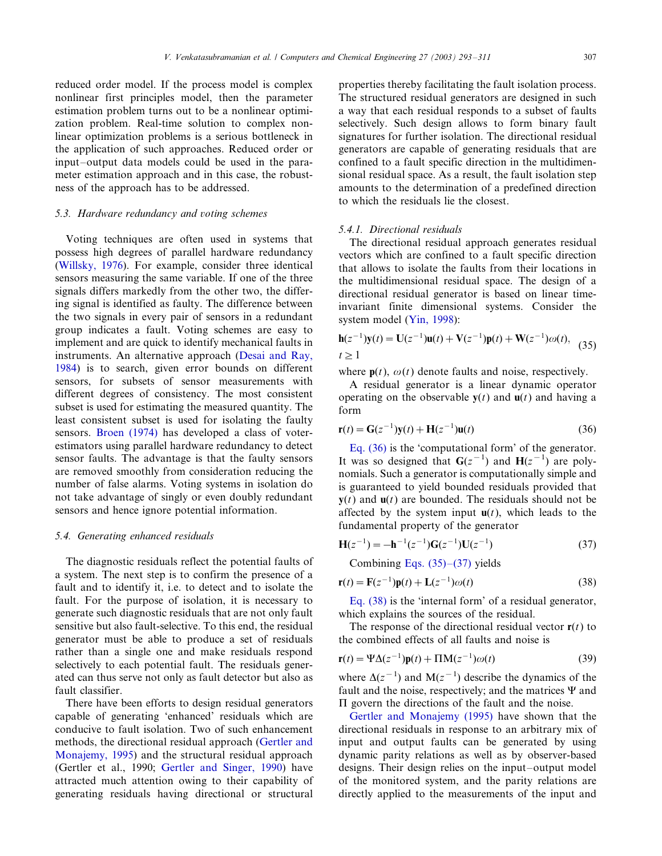reduced order model. If the process model is complex nonlinear first principles model, then the parameter estimation problem turns out to be a nonlinear optimization problem. Real-time solution to complex nonlinear optimization problems is a serious bottleneck in the application of such approaches. Reduced order or input-/output data models could be used in the parameter estimation approach and in this case, the robustness of the approach has to be addressed.

# 5.3. Hardware redundancy and voting schemes

Voting techniques are often used in systems that possess high degrees of parallel hardware redundancy (Willsky, 1976). For example, consider three identical sensors measuring the same variable. If one of the three signals differs markedly from the other two, the differing signal is identified as faulty. The difference between the two signals in every pair of sensors in a redundant group indicates a fault. Voting schemes are easy to implement and are quick to identify mechanical faults in instruments. An alternative approach (Desai and Ray, 1984) is to search, given error bounds on different sensors, for subsets of sensor measurements with different degrees of consistency. The most consistent subset is used for estimating the measured quantity. The least consistent subset is used for isolating the faulty sensors. Broen (1974) has developed a class of voterestimators using parallel hardware redundancy to detect sensor faults. The advantage is that the faulty sensors are removed smoothly from consideration reducing the number of false alarms. Voting systems in isolation do not take advantage of singly or even doubly redundant sensors and hence ignore potential information.

# 5.4. Generating enhanced residuals

The diagnostic residuals reflect the potential faults of a system. The next step is to confirm the presence of a fault and to identify it, i.e. to detect and to isolate the fault. For the purpose of isolation, it is necessary to generate such diagnostic residuals that are not only fault sensitive but also fault-selective. To this end, the residual generator must be able to produce a set of residuals rather than a single one and make residuals respond selectively to each potential fault. The residuals generated can thus serve not only as fault detector but also as fault classifier.

There have been efforts to design residual generators capable of generating 'enhanced' residuals which are conducive to fault isolation. Two of such enhancement methods, the directional residual approach (Gertler and Monajemy, 1995) and the structural residual approach (Gertler et al., 1990; Gertler and Singer, 1990) have attracted much attention owing to their capability of generating residuals having directional or structural

properties thereby facilitating the fault isolation process. The structured residual generators are designed in such a way that each residual responds to a subset of faults selectively. Such design allows to form binary fault signatures for further isolation. The directional residual generators are capable of generating residuals that are confined to a fault specific direction in the multidimensional residual space. As a result, the fault isolation step amounts to the determination of a predefined direction to which the residuals lie the closest.

#### 5.4.1. Directional residuals

The directional residual approach generates residual vectors which are confined to a fault specific direction that allows to isolate the faults from their locations in the multidimensional residual space. The design of a directional residual generator is based on linear timeinvariant finite dimensional systems. Consider the system model (Yin, 1998):

$$
\mathbf{h}(z^{-1})\mathbf{y}(t) = \mathbf{U}(z^{-1})\mathbf{u}(t) + \mathbf{V}(z^{-1})\mathbf{p}(t) + \mathbf{W}(z^{-1})\omega(t), \tag{35}
$$

where  $p(t)$ ,  $\omega(t)$  denote faults and noise, respectively.

A residual generator is a linear dynamic operator operating on the observable  $y(t)$  and  $u(t)$  and having a form

$$
\mathbf{r}(t) = \mathbf{G}(z^{-1})\mathbf{y}(t) + \mathbf{H}(z^{-1})\mathbf{u}(t)
$$
\n(36)

Eq. (36) is the 'computational form' of the generator. It was so designed that  $G(z^{-1})$  and  $H(z^{-1})$  are polynomials. Such a generator is computationally simple and is guaranteed to yield bounded residuals provided that  $y(t)$  and  $u(t)$  are bounded. The residuals should not be affected by the system input  $\mathbf{u}(t)$ , which leads to the fundamental property of the generator

$$
\mathbf{H}(z^{-1}) = -\mathbf{h}^{-1}(z^{-1})\mathbf{G}(z^{-1})\mathbf{U}(z^{-1})
$$
 (37)

Combining Eqs.  $(35)$ – $(37)$  yields

$$
\mathbf{r}(t) = \mathbf{F}(z^{-1})\mathbf{p}(t) + \mathbf{L}(z^{-1})\omega(t)
$$
\n(38)

Eq. (38) is the 'internal form' of a residual generator, which explains the sources of the residual.

The response of the directional residual vector  $r(t)$  to the combined effects of all faults and noise is

$$
\mathbf{r}(t) = \Psi \Delta(z^{-1}) \mathbf{p}(t) + \Pi \mathbf{M}(z^{-1}) \omega(t)
$$
 (39)

where  $\Delta(z^{-1})$  and  $M(z^{-1})$  describe the dynamics of the fault and the noise, respectively; and the matrices  $\Psi$  and  $\Pi$  govern the directions of the fault and the noise.

Gertler and Monajemy (1995) have shown that the directional residuals in response to an arbitrary mix of input and output faults can be generated by using dynamic parity relations as well as by observer-based designs. Their design relies on the input-output model of the monitored system, and the parity relations are directly applied to the measurements of the input and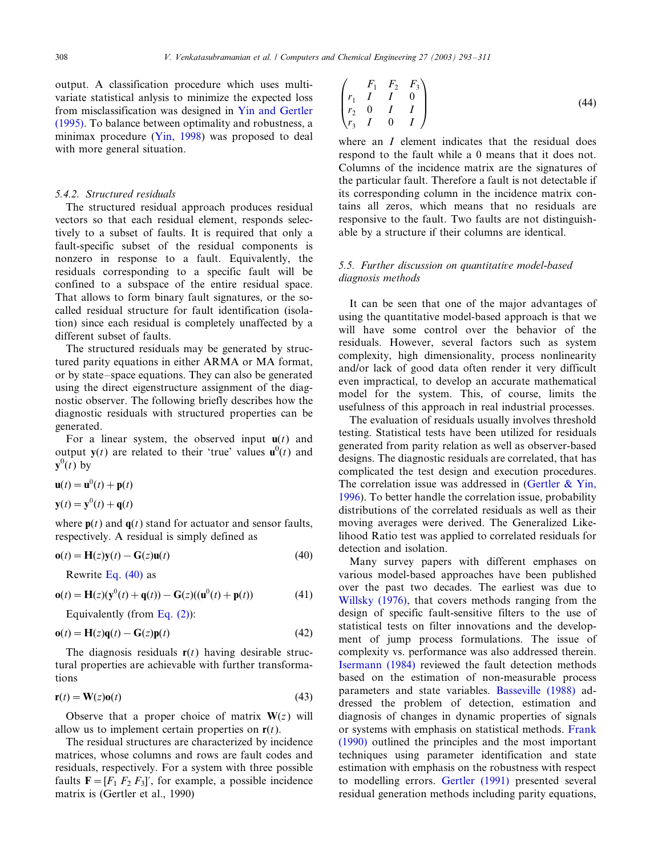output. A classification procedure which uses multivariate statistical anlysis to minimize the expected loss from misclassification was designed in Yin and Gertler (1995). To balance between optimality and robustness, a minimax procedure (Yin, 1998) was proposed to deal with more general situation.

#### 5.4.2. Structured residuals

The structured residual approach produces residual vectors so that each residual element, responds selectively to a subset of faults. It is required that only a fault-specific subset of the residual components is nonzero in response to a fault. Equivalently, the residuals corresponding to a specific fault will be confined to a subspace of the entire residual space. That allows to form binary fault signatures, or the socalled residual structure for fault identification (isolation) since each residual is completely unaffected by a different subset of faults.

The structured residuals may be generated by structured parity equations in either ARMA or MA format, or by state-space equations. They can also be generated using the direct eigenstructure assignment of the diagnostic observer. The following briefly describes how the diagnostic residuals with structured properties can be generated.

For a linear system, the observed input  $\mathbf{u}(t)$  and output  $y(t)$  are related to their 'true' values  $u^0(t)$  and  $y^0(t)$  by

$$
\mathbf{u}(t) = \mathbf{u}^0(t) + \mathbf{p}(t)
$$

 $y(t) = y^0(t) + q(t)$ 

where  $p(t)$  and  $q(t)$  stand for actuator and sensor faults, respectively. A residual is simply defined as

$$
\mathbf{o}(t) = \mathbf{H}(z)\mathbf{y}(t) - \mathbf{G}(z)\mathbf{u}(t) \tag{40}
$$

Rewrite Eq. (40) as

$$
\mathbf{o}(t) = \mathbf{H}(z)(\mathbf{y}^0(t) + \mathbf{q}(t)) - \mathbf{G}(z)((\mathbf{u}^0(t) + \mathbf{p}(t))
$$
(41)

Equivalently (from Eq. (2)):

$$
\mathbf{o}(t) = \mathbf{H}(z)\mathbf{q}(t) - \mathbf{G}(z)\mathbf{p}(t)
$$
\n(42)

The diagnosis residuals  $r(t)$  having desirable structural properties are achievable with further transformations

$$
\mathbf{r}(t) = \mathbf{W}(z)\mathbf{o}(t) \tag{43}
$$

Observe that a proper choice of matrix  $W(z)$  will allow us to implement certain properties on  $r(t)$ .

The residual structures are characterized by incidence matrices, whose columns and rows are fault codes and residuals, respectively. For a system with three possible faults  $\mathbf{F}=[F_1 F_2 F_3]^\prime$ , for example, a possible incidence matrix is (Gertler et al., 1990)

$$
\begin{pmatrix}\nF_1 & F_2 & F_3 \\
r_1 & I & I & 0 \\
r_2 & 0 & I & I \\
r_3 & I & 0 & I\n\end{pmatrix}
$$
\n(44)

where an *I* element indicates that the residual does respond to the fault while a 0 means that it does not. Columns of the incidence matrix are the signatures of the particular fault. Therefore a fault is not detectable if its corresponding column in the incidence matrix contains all zeros, which means that no residuals are responsive to the fault. Two faults are not distinguishable by a structure if their columns are identical.

# 5.5. Further discussion on quantitative model-based diagnosis methods

It can be seen that one of the major advantages of using the quantitative model-based approach is that we will have some control over the behavior of the residuals. However, several factors such as system complexity, high dimensionality, process nonlinearity and/or lack of good data often render it very difficult even impractical, to develop an accurate mathematical model for the system. This, of course, limits the usefulness of this approach in real industrial processes.

The evaluation of residuals usually involves threshold testing. Statistical tests have been utilized for residuals generated from parity relation as well as observer-based designs. The diagnostic residuals are correlated, that has complicated the test design and execution procedures. The correlation issue was addressed in (Gertler & Yin, 1996). To better handle the correlation issue, probability distributions of the correlated residuals as well as their moving averages were derived. The Generalized Likelihood Ratio test was applied to correlated residuals for detection and isolation.

Many survey papers with different emphases on various model-based approaches have been published over the past two decades. The earliest was due to Willsky (1976), that covers methods ranging from the design of specific fault-sensitive filters to the use of statistical tests on filter innovations and the development of jump process formulations. The issue of complexity vs. performance was also addressed therein. Isermann (1984) reviewed the fault detection methods based on the estimation of non-measurable process parameters and state variables. Basseville (1988) addressed the problem of detection, estimation and diagnosis of changes in dynamic properties of signals or systems with emphasis on statistical methods. Frank (1990) outlined the principles and the most important techniques using parameter identification and state estimation with emphasis on the robustness with respect to modelling errors. Gertler (1991) presented several residual generation methods including parity equations,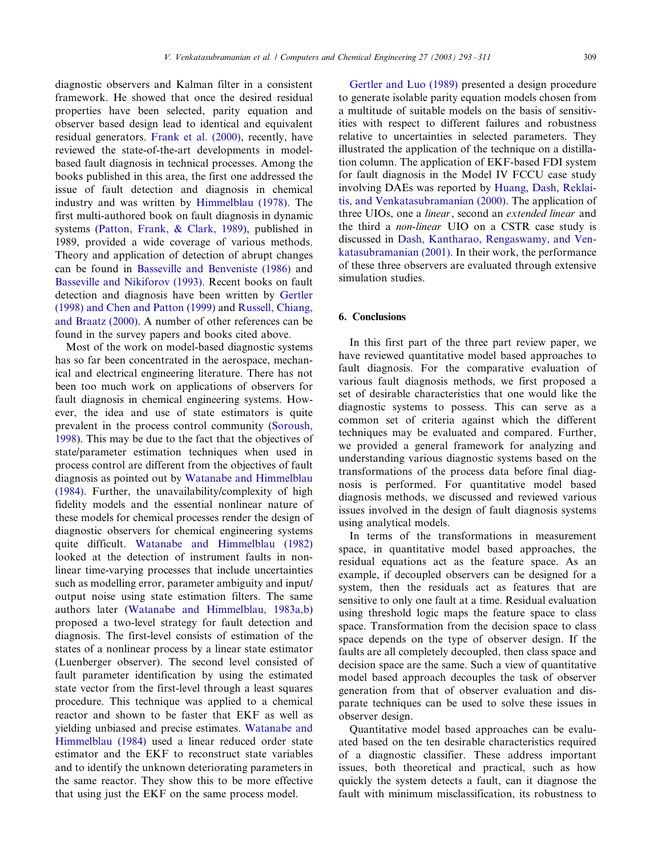residual generators. Frank et al. (2000), recently, have reviewed the state-of-the-art developments in modelbased fault diagnosis in technical processes. Among the books published in this area, the first one addressed the issue of fault detection and diagnosis in chemical industry and was written by Himmelblau (1978). The first multi-authored book on fault diagnosis in dynamic systems (Patton, Frank, & Clark, 1989), published in 1989, provided a wide coverage of various methods. Theory and application of detection of abrupt changes can be found in Basseville and Benveniste (1986) and Basseville and Nikiforov (1993). Recent books on fault detection and diagnosis have been written by Gertler (1998) and Chen and Patton (1999) and Russell, Chiang, and Braatz (2000). A number of other references can be found in the survey papers and books cited above.

Most of the work on model-based diagnostic systems has so far been concentrated in the aerospace, mechanical and electrical engineering literature. There has not been too much work on applications of observers for fault diagnosis in chemical engineering systems. However, the idea and use of state estimators is quite prevalent in the process control community (Soroush, 1998). This may be due to the fact that the objectives of state/parameter estimation techniques when used in process control are different from the objectives of fault diagnosis as pointed out by Watanabe and Himmelblau (1984). Further, the unavailability/complexity of high fidelity models and the essential nonlinear nature of these models for chemical processes render the design of diagnostic observers for chemical engineering systems quite difficult. Watanabe and Himmelblau (1982) looked at the detection of instrument faults in nonlinear time-varying processes that include uncertainties such as modelling error, parameter ambiguity and input/ output noise using state estimation filters. The same authors later (Watanabe and Himmelblau, 1983a,b) proposed a two-level strategy for fault detection and diagnosis. The first-level consists of estimation of the states of a nonlinear process by a linear state estimator (Luenberger observer). The second level consisted of fault parameter identification by using the estimated state vector from the first-level through a least squares procedure. This technique was applied to a chemical reactor and shown to be faster that EKF as well as yielding unbiased and precise estimates. Watanabe and Himmelblau (1984) used a linear reduced order state estimator and the EKF to reconstruct state variables and to identify the unknown deteriorating parameters in the same reactor. They show this to be more effective that using just the EKF on the same process model.

Gertler and Luo (1989) presented a design procedure to generate isolable parity equation models chosen from a multitude of suitable models on the basis of sensitivities with respect to different failures and robustness relative to uncertainties in selected parameters. They illustrated the application of the technique on a distillation column. The application of EKF-based FDI system for fault diagnosis in the Model IV FCCU case study involving DAEs was reported by Huang, Dash, Reklaitis, and Venkatasubramanian (2000). The application of three UIOs, one a linear, second an extended linear and the third a non-linear UIO on a CSTR case study is discussed in Dash, Kantharao, Rengaswamy, and Venkatasubramanian (2001). In their work, the performance of these three observers are evaluated through extensive simulation studies.

## 6. Conclusions

In this first part of the three part review paper, we have reviewed quantitative model based approaches to fault diagnosis. For the comparative evaluation of various fault diagnosis methods, we first proposed a set of desirable characteristics that one would like the diagnostic systems to possess. This can serve as a common set of criteria against which the different techniques may be evaluated and compared. Further, we provided a general framework for analyzing and understanding various diagnostic systems based on the transformations of the process data before final diagnosis is performed. For quantitative model based diagnosis methods, we discussed and reviewed various issues involved in the design of fault diagnosis systems using analytical models.

In terms of the transformations in measurement space, in quantitative model based approaches, the residual equations act as the feature space. As an example, if decoupled observers can be designed for a system, then the residuals act as features that are sensitive to only one fault at a time. Residual evaluation using threshold logic maps the feature space to class space. Transformation from the decision space to class space depends on the type of observer design. If the faults are all completely decoupled, then class space and decision space are the same. Such a view of quantitative model based approach decouples the task of observer generation from that of observer evaluation and disparate techniques can be used to solve these issues in observer design.

Quantitative model based approaches can be evaluated based on the ten desirable characteristics required of a diagnostic classifier. These address important issues, both theoretical and practical, such as how quickly the system detects a fault, can it diagnose the fault with minimum misclassification, its robustness to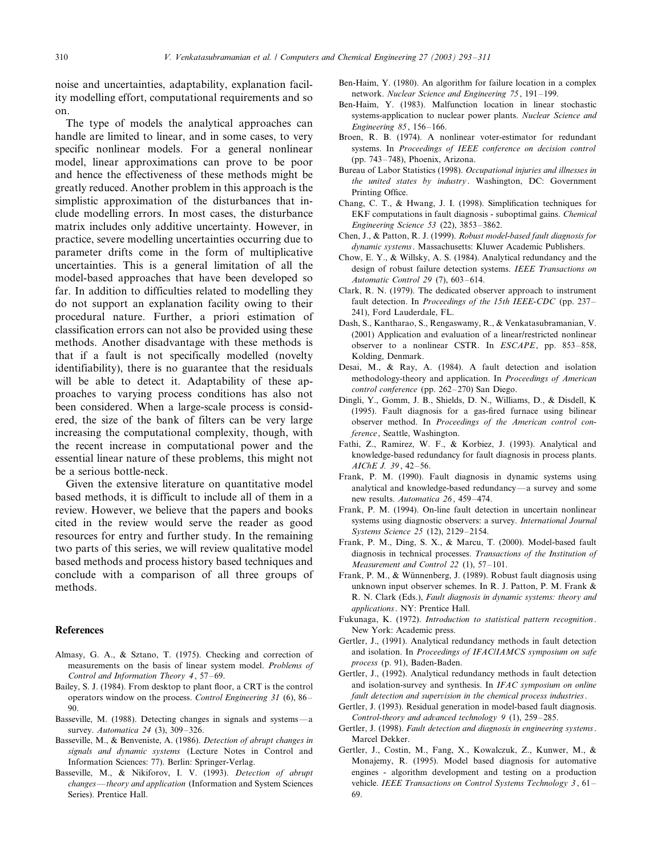noise and uncertainties, adaptability, explanation facility modelling effort, computational requirements and so on.

The type of models the analytical approaches can handle are limited to linear, and in some cases, to very specific nonlinear models. For a general nonlinear model, linear approximations can prove to be poor and hence the effectiveness of these methods might be greatly reduced. Another problem in this approach is the simplistic approximation of the disturbances that include modelling errors. In most cases, the disturbance matrix includes only additive uncertainty. However, in practice, severe modelling uncertainties occurring due to parameter drifts come in the form of multiplicative uncertainties. This is a general limitation of all the model-based approaches that have been developed so far. In addition to difficulties related to modelling they do not support an explanation facility owing to their procedural nature. Further, a priori estimation of classification errors can not also be provided using these methods. Another disadvantage with these methods is that if a fault is not specifically modelled (novelty identifiability), there is no guarantee that the residuals will be able to detect it. Adaptability of these approaches to varying process conditions has also not been considered. When a large-scale process is considered, the size of the bank of filters can be very large increasing the computational complexity, though, with the recent increase in computational power and the essential linear nature of these problems, this might not be a serious bottle-neck.

Given the extensive literature on quantitative model based methods, it is difficult to include all of them in a review. However, we believe that the papers and books cited in the review would serve the reader as good resources for entry and further study. In the remaining two parts of this series, we will review qualitative model based methods and process history based techniques and conclude with a comparison of all three groups of methods.

# References

- Almasy, G. A., & Sztano, T. (1975). Checking and correction of measurements on the basis of linear system model. Problems of Control and Information Theory 4, 57-69.
- Bailey, S. J. (1984). From desktop to plant floor, a CRT is the control operators window on the process. Control Engineering 31 (6), 86-90.
- Basseville, M. (1988). Detecting changes in signals and systems-a survey. Automatica 24 (3), 309-326.
- Basseville, M., & Benveniste, A. (1986). Detection of abrupt changes in signals and dynamic systems (Lecture Notes in Control and Information Sciences: 77). Berlin: Springer-Verlag.
- Basseville, M., & Nikiforov, I. V. (1993). Detection of abrupt changes-theory and application (Information and System Sciences Series). Prentice Hall.
- Ben-Haim, Y. (1980). An algorithm for failure location in a complex network. Nuclear Science and Engineering 75, 191-199.
- Ben-Haim, Y. (1983). Malfunction location in linear stochastic systems-application to nuclear power plants. Nuclear Science and Engineering 85, 156-166.
- Broen, R. B. (1974). A nonlinear voter-estimator for redundant systems. In Proceedings of IEEE conference on decision control (pp. 743-748), Phoenix, Arizona.
- Bureau of Labor Statistics (1998). Occupational injuries and illnesses in the united states by industry. Washington, DC: Government Printing Office.
- Chang, C. T., & Hwang, J. I. (1998). Simplification techniques for EKF computations in fault diagnosis - suboptimal gains. Chemical Engineering Science 53 (22), 3853-3862.
- Chen, J., & Patton, R. J. (1999). Robust model-based fault diagnosis for dynamic systems. Massachusetts: Kluwer Academic Publishers.
- Chow, E. Y., & Willsky, A. S. (1984). Analytical redundancy and the design of robust failure detection systems. IEEE Transactions on Automatic Control 29 (7), 603-614.
- Clark, R. N. (1979). The dedicated observer approach to instrument fault detection. In Proceedings of the 15th IEEE-CDC (pp. 237-241), Ford Lauderdale, FL.
- Dash, S., Kantharao, S., Rengaswamy, R., & Venkatasubramanian, V. (2001) Application and evaluation of a linear/restricted nonlinear observer to a nonlinear CSTR. In ESCAPE, pp. 853-858, Kolding, Denmark.
- Desai, M., & Ray, A. (1984). A fault detection and isolation methodology-theory and application. In Proceedings of American control conference (pp. 262-270) San Diego.
- Dingli, Y., Gomm, J. B., Shields, D. N., Williams, D., & Disdell, K (1995). Fault diagnosis for a gas-fired furnace using bilinear observer method. In Proceedings of the American control conference , Seattle, Washington.
- Fathi, Z., Ramirez, W. F., & Korbiez, J. (1993). Analytical and knowledge-based redundancy for fault diagnosis in process plants. AIChE J. 39, 42–56.
- Frank, P. M. (1990). Fault diagnosis in dynamic systems using analytical and knowledge-based redundancy-a survey and some new results. Automatica 26, 459-474.
- Frank, P. M. (1994). On-line fault detection in uncertain nonlinear systems using diagnostic observers: a survey. International Journal Systems Science 25 (12), 2129-2154.
- Frank, P. M., Ding, S. X., & Marcu, T. (2000). Model-based fault diagnosis in technical processes. Transactions of the Institution of Measurement and Control 22 (1), 57-101.
- Frank, P. M., & Wünnenberg, J. (1989). Robust fault diagnosis using unknown input observer schemes. In R. J. Patton, P. M. Frank & R. N. Clark (Eds.), Fault diagnosis in dynamic systems: theory and applications. NY: Prentice Hall.
- Fukunaga, K. (1972). Introduction to statistical pattern recognition . New York: Academic press.
- Gertler, J., (1991). Analytical redundancy methods in fault detection and isolation. In Proceedings of IFAC/IAMCS symposium on safe process (p. 91), Baden-Baden.
- Gertler, J., (1992). Analytical redundancy methods in fault detection and isolation-survey and synthesis. In IFAC symposium on online fault detection and supervision in the chemical process industries.
- Gertler, J. (1993). Residual generation in model-based fault diagnosis. Control-theory and advanced technology 9 (1), 259-285.
- Gertler, J. (1998). Fault detection and diagnosis in engineering systems. Marcel Dekker.
- Gertler, J., Costin, M., Fang, X., Kowalczuk, Z., Kunwer, M., & Monajemy, R. (1995). Model based diagnosis for automative engines - algorithm development and testing on a production vehicle. IEEE Transactions on Control Systems Technology 3, 61-69.